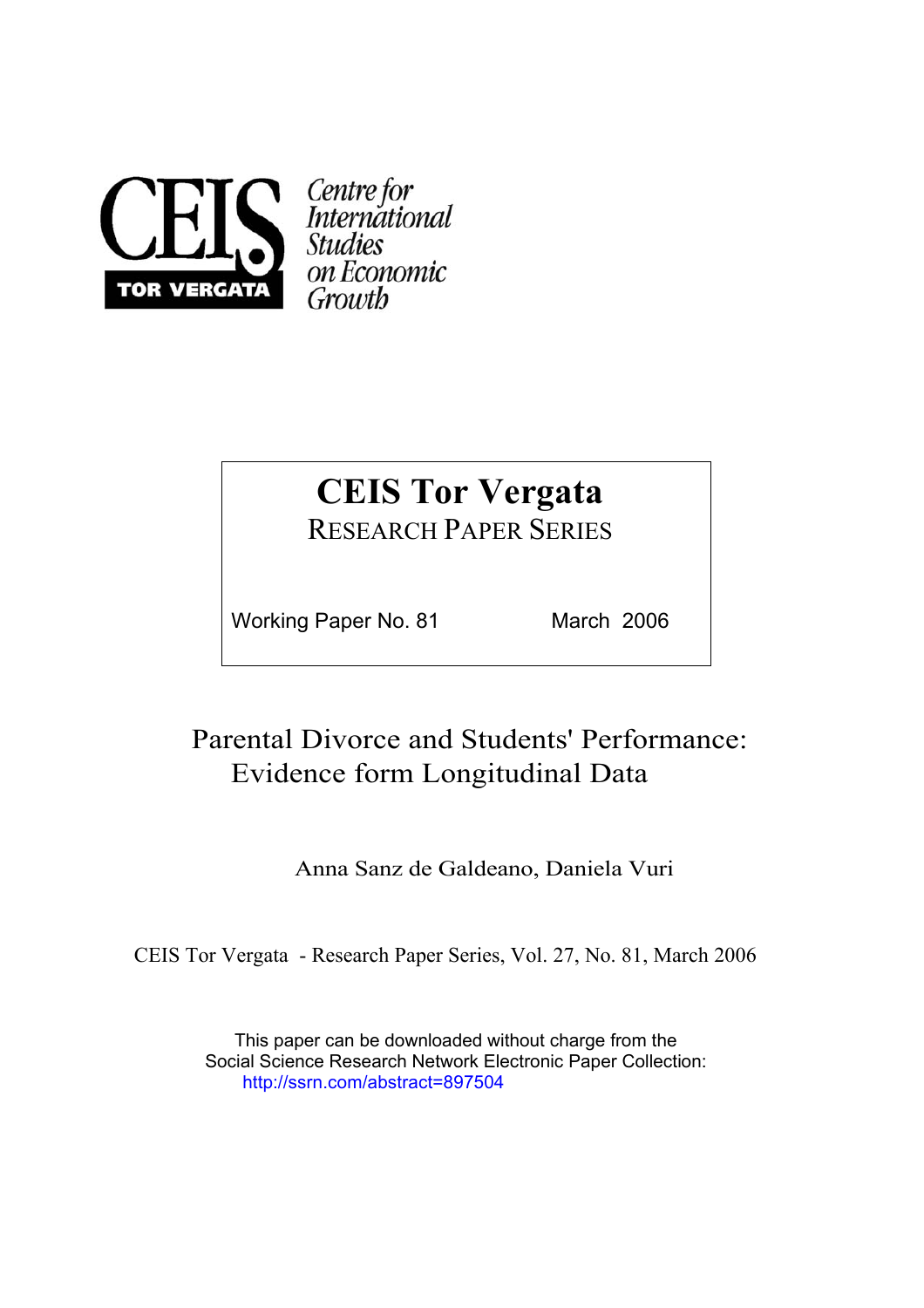

# **CEIS Tor Vergata**

RESEARCH PAPER SERIES

Working Paper No. 81 March 2006

### Parental Divorce and Students' Performance: Evidence form Longitudinal Data

Anna Sanz de Galdeano, Daniela Vuri

CEIS Tor Vergata - Research Paper Series, Vol. 27, No. 81, March 2006

This paper can be downloaded without charge from the Social Science Research Network Electronic Paper Collection: http://ssrn.com/abstract=897504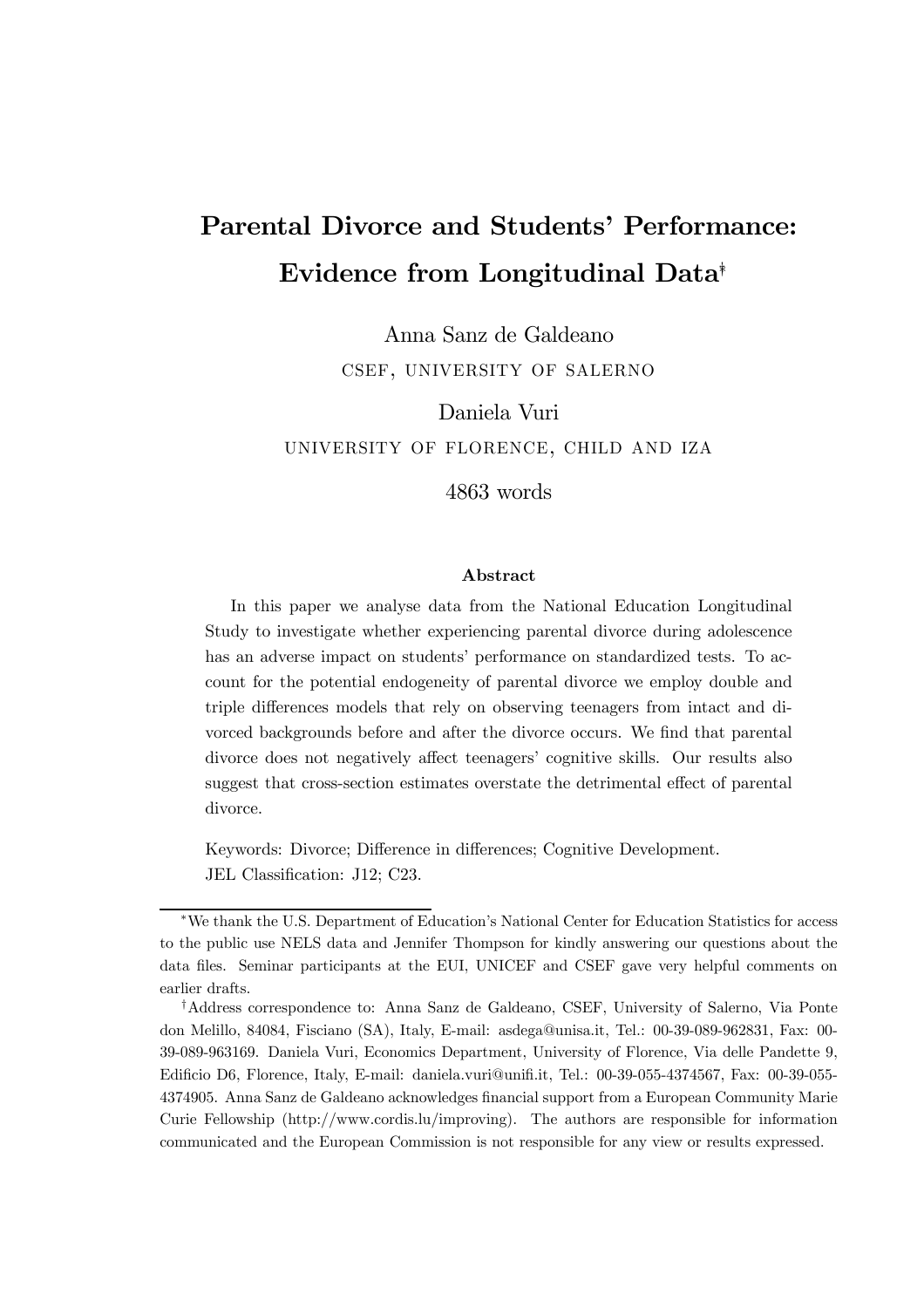## Parental Divorce and Students' Performance: Evidence from Longitudinal Data∗†

Anna Sanz de Galdeano csef, university of salerno

Daniela Vuri university of florence, child and iza 4863 words

#### Abstract

In this paper we analyse data from the National Education Longitudinal Study to investigate whether experiencing parental divorce during adolescence has an adverse impact on students' performance on standardized tests. To account for the potential endogeneity of parental divorce we employ double and triple differences models that rely on observing teenagers from intact and divorced backgrounds before and after the divorce occurs. We find that parental divorce does not negatively affect teenagers' cognitive skills. Our results also suggest that cross-section estimates overstate the detrimental effect of parental divorce.

Keywords: Divorce; Difference in differences; Cognitive Development. JEL Classification: J12; C23.

<sup>∗</sup>We thank the U.S. Department of Education's National Center for Education Statistics for access to the public use NELS data and Jennifer Thompson for kindly answering our questions about the data files. Seminar participants at the EUI, UNICEF and CSEF gave very helpful comments on earlier drafts.

<sup>†</sup>Address correspondence to: Anna Sanz de Galdeano, CSEF, University of Salerno, Via Ponte don Melillo, 84084, Fisciano (SA), Italy, E-mail: asdega@unisa.it, Tel.: 00-39-089-962831, Fax: 00- 39-089-963169. Daniela Vuri, Economics Department, University of Florence, Via delle Pandette 9, Edificio D6, Florence, Italy, E-mail: daniela.vuri@unifi.it, Tel.: 00-39-055-4374567, Fax: 00-39-055- 4374905. Anna Sanz de Galdeano acknowledges financial support from a European Community Marie Curie Fellowship (http://www.cordis.lu/improving). The authors are responsible for information communicated and the European Commission is not responsible for any view or results expressed.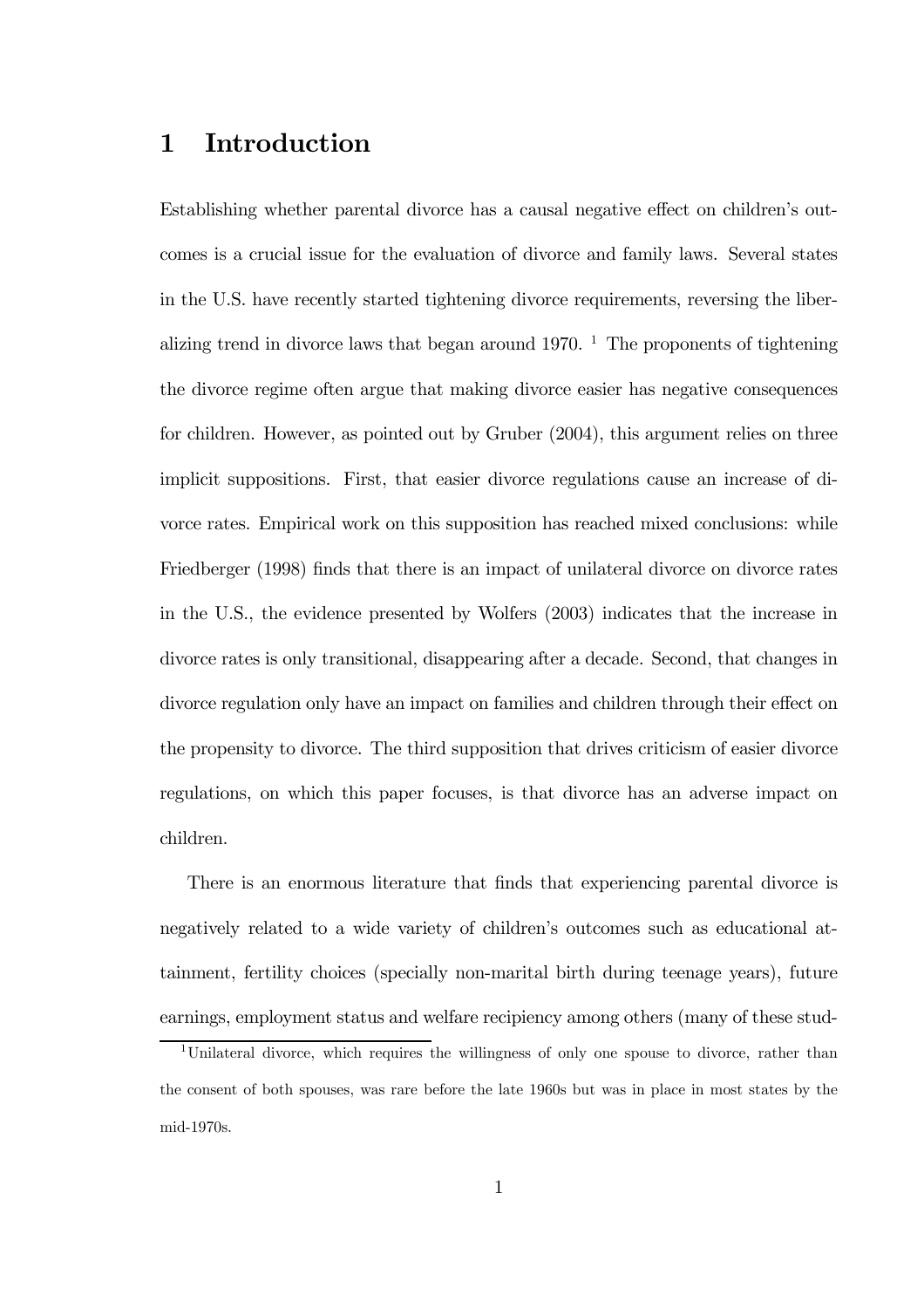### 1 Introduction

Establishing whether parental divorce has a causal negative effect on children's outcomes is a crucial issue for the evaluation of divorce and family laws. Several states in the U.S. have recently started tightening divorce requirements, reversing the liberalizing trend in divorce laws that began around  $1970$ . <sup>1</sup> The proponents of tightening the divorce regime often argue that making divorce easier has negative consequences for children. However, as pointed out by Gruber (2004), this argument relies on three implicit suppositions. First, that easier divorce regulations cause an increase of divorce rates. Empirical work on this supposition has reached mixed conclusions: while Friedberger (1998) finds that there is an impact of unilateral divorce on divorce rates in the U.S., the evidence presented by Wolfers (2003) indicates that the increase in divorce rates is only transitional, disappearing after a decade. Second, that changes in divorce regulation only have an impact on families and children through their effect on the propensity to divorce. The third supposition that drives criticism of easier divorce regulations, on which this paper focuses, is that divorce has an adverse impact on children.

There is an enormous literature that finds that experiencing parental divorce is negatively related to a wide variety of children's outcomes such as educational attainment, fertility choices (specially non-marital birth during teenage years), future earnings, employment status and welfare recipiency among others (many of these stud-

<sup>1</sup>Unilateral divorce, which requires the willingness of only one spouse to divorce, rather than the consent of both spouses, was rare before the late 1960s but was in place in most states by the mid-1970s.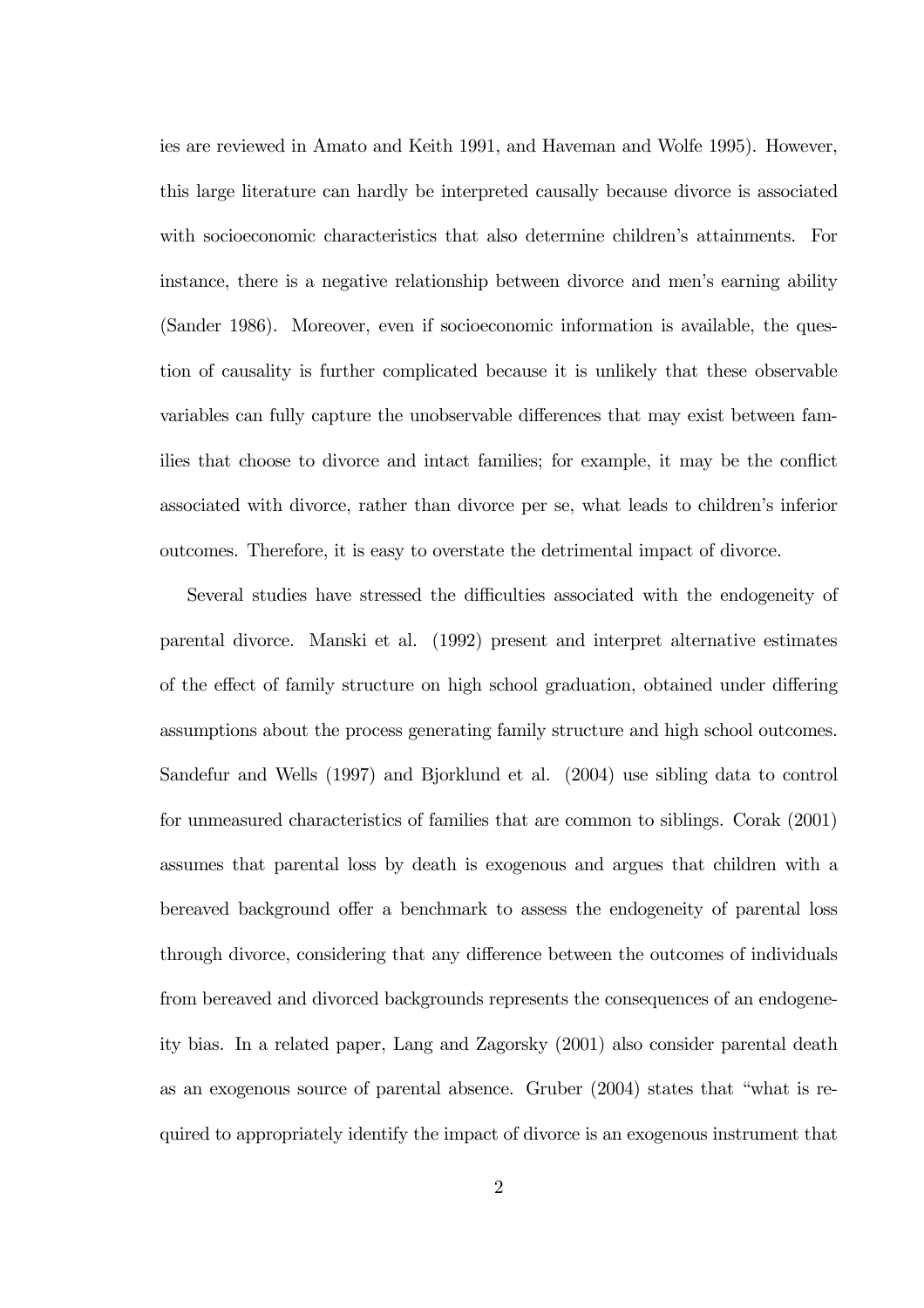ies are reviewed in Amato and Keith 1991, and Haveman and Wolfe 1995). However, this large literature can hardly be interpreted causally because divorce is associated with socioeconomic characteristics that also determine children's attainments. For instance, there is a negative relationship between divorce and men's earning ability (Sander 1986). Moreover, even if socioeconomic information is available, the question of causality is further complicated because it is unlikely that these observable variables can fully capture the unobservable differences that may exist between families that choose to divorce and intact families; for example, it may be the conflict associated with divorce, rather than divorce per se, what leads to children's inferior outcomes. Therefore, it is easy to overstate the detrimental impact of divorce.

Several studies have stressed the difficulties associated with the endogeneity of parental divorce. Manski et al. (1992) present and interpret alternative estimates of the effect of family structure on high school graduation, obtained under differing assumptions about the process generating family structure and high school outcomes. Sandefur and Wells (1997) and Bjorklund et al. (2004) use sibling data to control for unmeasured characteristics of families that are common to siblings. Corak (2001) assumes that parental loss by death is exogenous and argues that children with a bereaved background offer a benchmark to assess the endogeneity of parental loss through divorce, considering that any difference between the outcomes of individuals from bereaved and divorced backgrounds represents the consequences of an endogeneity bias. In a related paper, Lang and Zagorsky (2001) also consider parental death as an exogenous source of parental absence. Gruber (2004) states that "what is required to appropriately identify the impact of divorce is an exogenous instrument that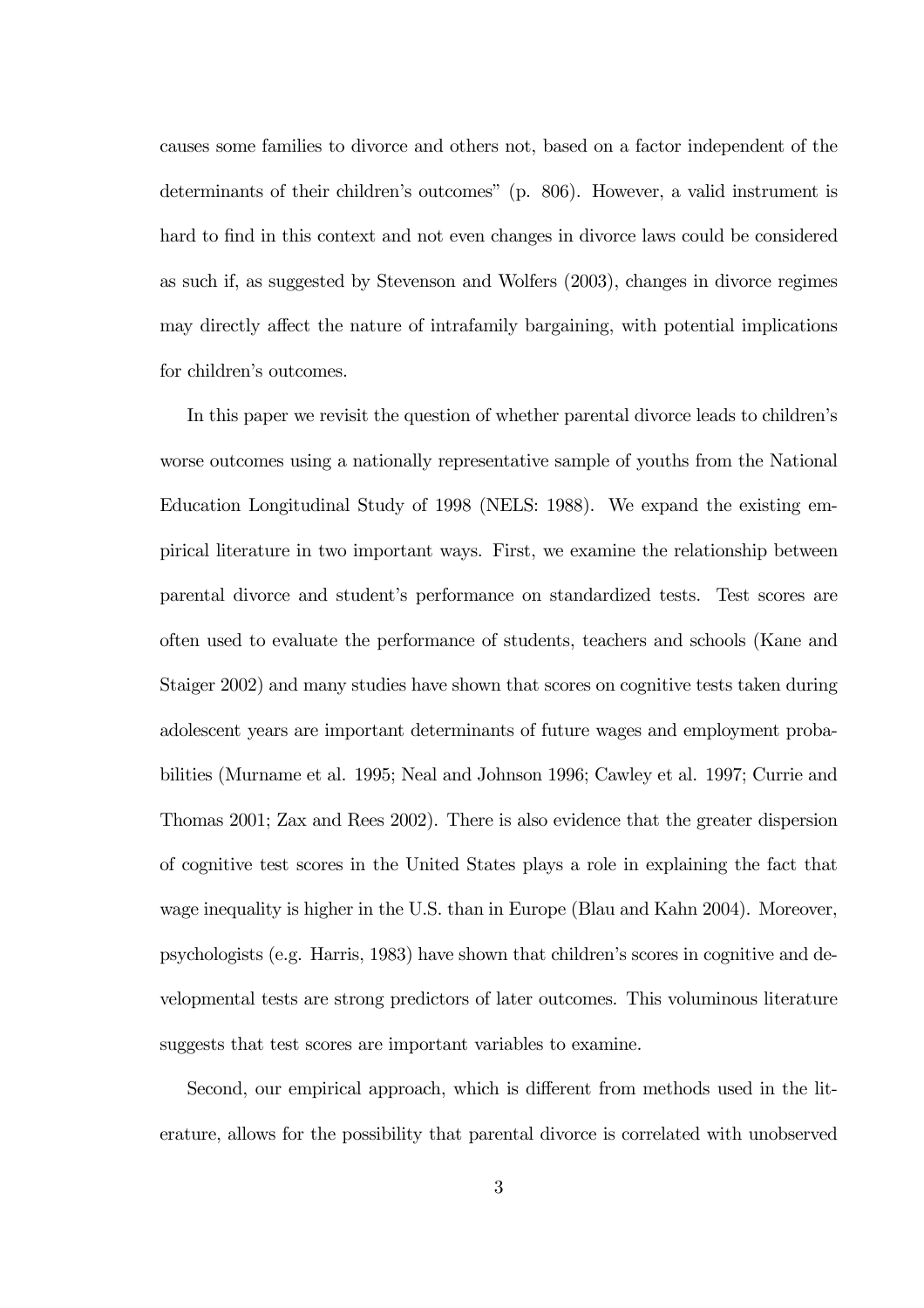causes some families to divorce and others not, based on a factor independent of the determinants of their children's outcomes" (p. 806). However, a valid instrument is hard to find in this context and not even changes in divorce laws could be considered as such if, as suggested by Stevenson and Wolfers (2003), changes in divorce regimes may directly affect the nature of intrafamily bargaining, with potential implications for children's outcomes.

In this paper we revisit the question of whether parental divorce leads to children's worse outcomes using a nationally representative sample of youths from the National Education Longitudinal Study of 1998 (NELS: 1988). We expand the existing empirical literature in two important ways. First, we examine the relationship between parental divorce and student's performance on standardized tests. Test scores are often used to evaluate the performance of students, teachers and schools (Kane and Staiger 2002) and many studies have shown that scores on cognitive tests taken during adolescent years are important determinants of future wages and employment probabilities (Murname et al. 1995; Neal and Johnson 1996; Cawley et al. 1997; Currie and Thomas 2001; Zax and Rees 2002). There is also evidence that the greater dispersion of cognitive test scores in the United States plays a role in explaining the fact that wage inequality is higher in the U.S. than in Europe (Blau and Kahn 2004). Moreover, psychologists (e.g. Harris, 1983) have shown that children's scores in cognitive and developmental tests are strong predictors of later outcomes. This voluminous literature suggests that test scores are important variables to examine.

Second, our empirical approach, which is different from methods used in the literature, allows for the possibility that parental divorce is correlated with unobserved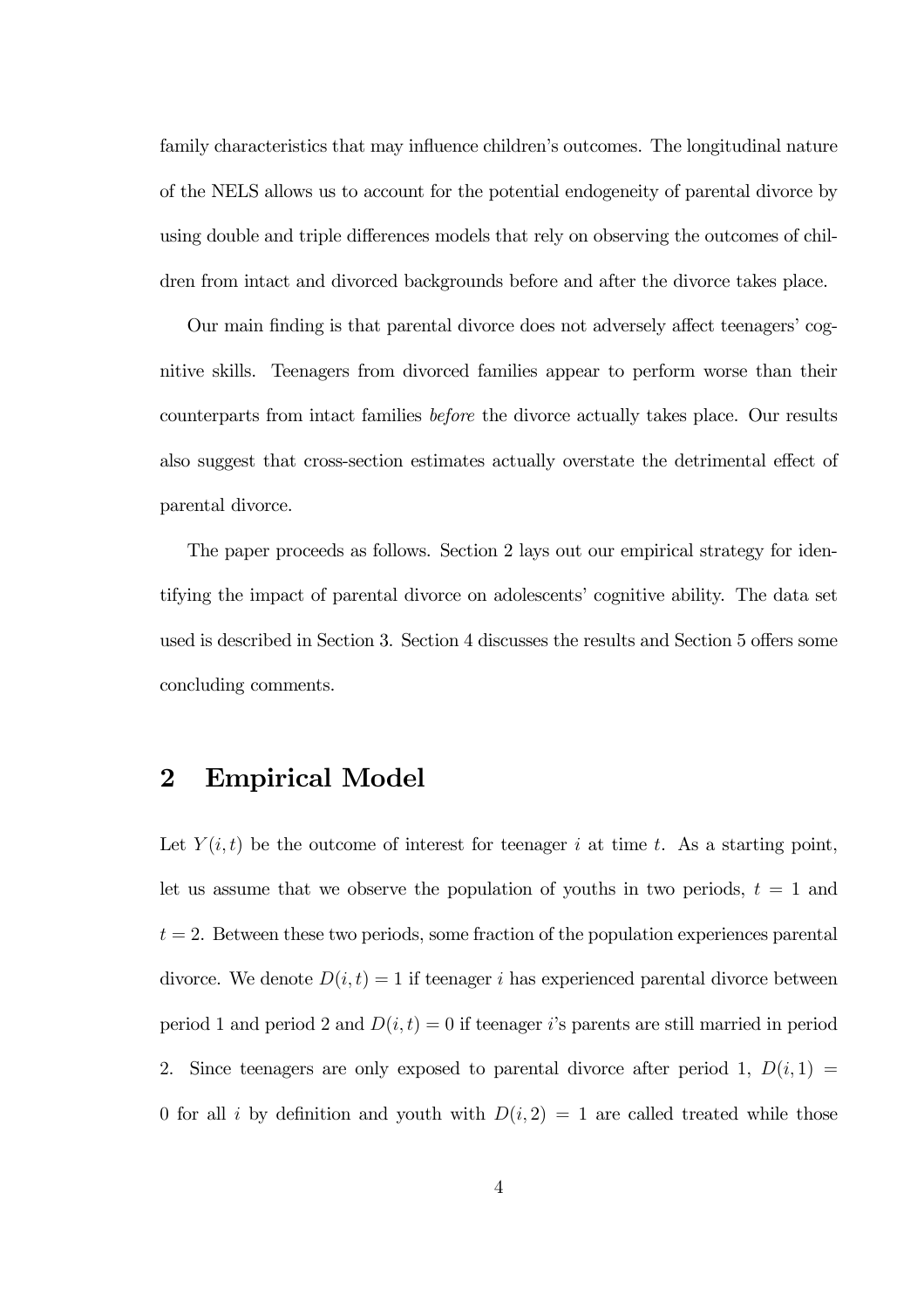family characteristics that may influence children's outcomes. The longitudinal nature of the NELS allows us to account for the potential endogeneity of parental divorce by using double and triple differences models that rely on observing the outcomes of children from intact and divorced backgrounds before and after the divorce takes place.

Our main finding is that parental divorce does not adversely affect teenagers' cognitive skills. Teenagers from divorced families appear to perform worse than their counterparts from intact families before the divorce actually takes place. Our results also suggest that cross-section estimates actually overstate the detrimental effect of parental divorce.

The paper proceeds as follows. Section 2 lays out our empirical strategy for identifying the impact of parental divorce on adolescents' cognitive ability. The data set used is described in Section 3. Section 4 discusses the results and Section 5 offers some concluding comments.

### 2 Empirical Model

Let  $Y(i, t)$  be the outcome of interest for teenager i at time t. As a starting point, let us assume that we observe the population of youths in two periods,  $t = 1$  and  $t = 2$ . Between these two periods, some fraction of the population experiences parental divorce. We denote  $D(i, t) = 1$  if teenager i has experienced parental divorce between period 1 and period 2 and  $D(i, t) = 0$  if teenager i's parents are still married in period 2. Since teenagers are only exposed to parental divorce after period 1,  $D(i, 1) =$ 0 for all i by definition and youth with  $D(i, 2) = 1$  are called treated while those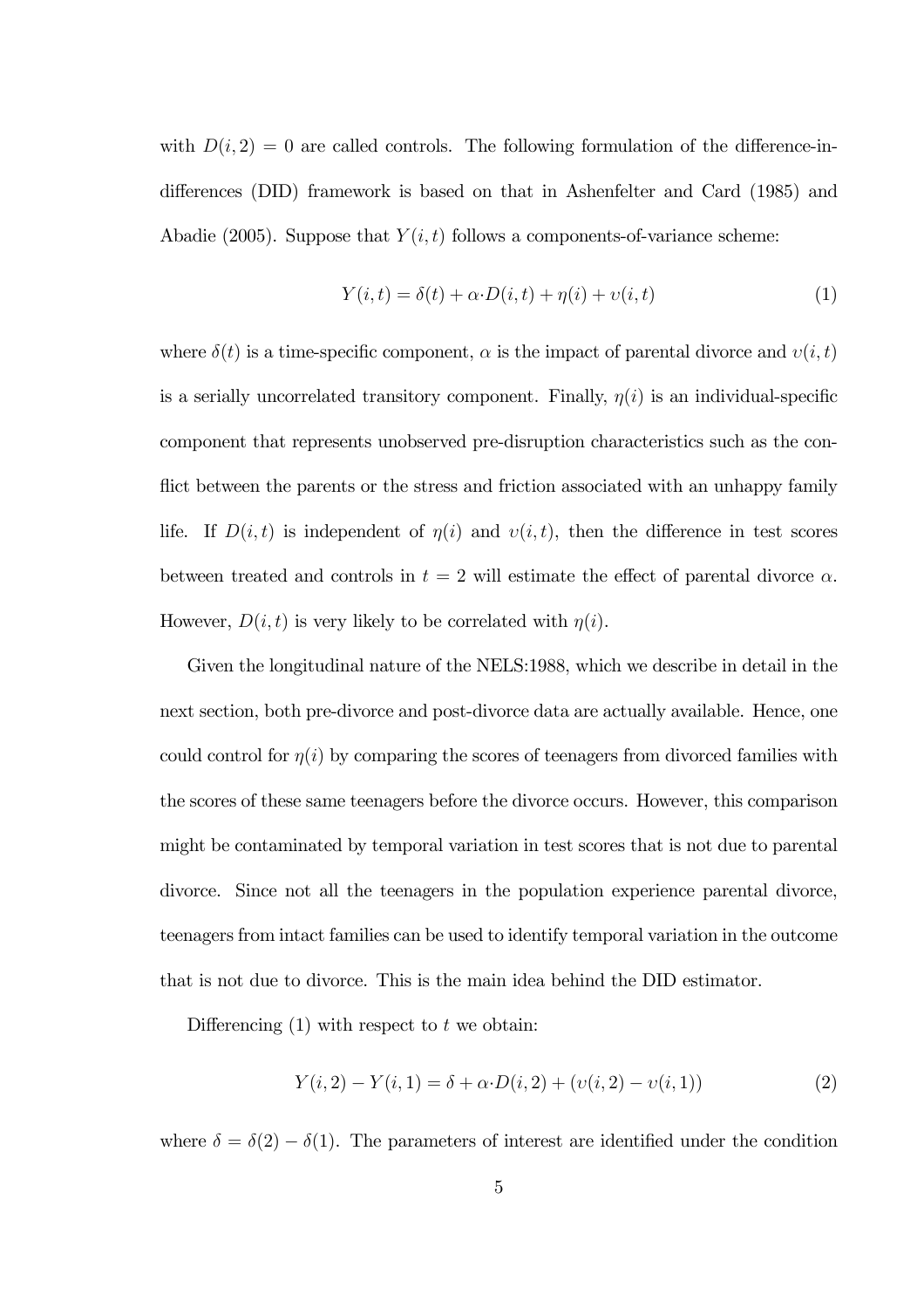with  $D(i, 2) = 0$  are called controls. The following formulation of the difference-indifferences (DID) framework is based on that in Ashenfelter and Card (1985) and Abadie (2005). Suppose that  $Y(i, t)$  follows a components-of-variance scheme:

$$
Y(i,t) = \delta(t) + \alpha \cdot D(i,t) + \eta(i) + \upsilon(i,t)
$$
\n<sup>(1)</sup>

where  $\delta(t)$  is a time-specific component,  $\alpha$  is the impact of parental divorce and  $v(i, t)$ is a serially uncorrelated transitory component. Finally,  $\eta(i)$  is an individual-specific component that represents unobserved pre-disruption characteristics such as the conflict between the parents or the stress and friction associated with an unhappy family life. If  $D(i, t)$  is independent of  $\eta(i)$  and  $\nu(i, t)$ , then the difference in test scores between treated and controls in  $t = 2$  will estimate the effect of parental divorce  $\alpha$ . However,  $D(i, t)$  is very likely to be correlated with  $\eta(i)$ .

Given the longitudinal nature of the NELS:1988, which we describe in detail in the next section, both pre-divorce and post-divorce data are actually available. Hence, one could control for  $\eta(i)$  by comparing the scores of teenagers from divorced families with the scores of these same teenagers before the divorce occurs. However, this comparison might be contaminated by temporal variation in test scores that is not due to parental divorce. Since not all the teenagers in the population experience parental divorce, teenagers from intact families can be used to identify temporal variation in the outcome that is not due to divorce. This is the main idea behind the DID estimator.

Differencing  $(1)$  with respect to t we obtain:

$$
Y(i,2) - Y(i,1) = \delta + \alpha \cdot D(i,2) + (v(i,2) - v(i,1))
$$
\n(2)

where  $\delta = \delta(2) - \delta(1)$ . The parameters of interest are identified under the condition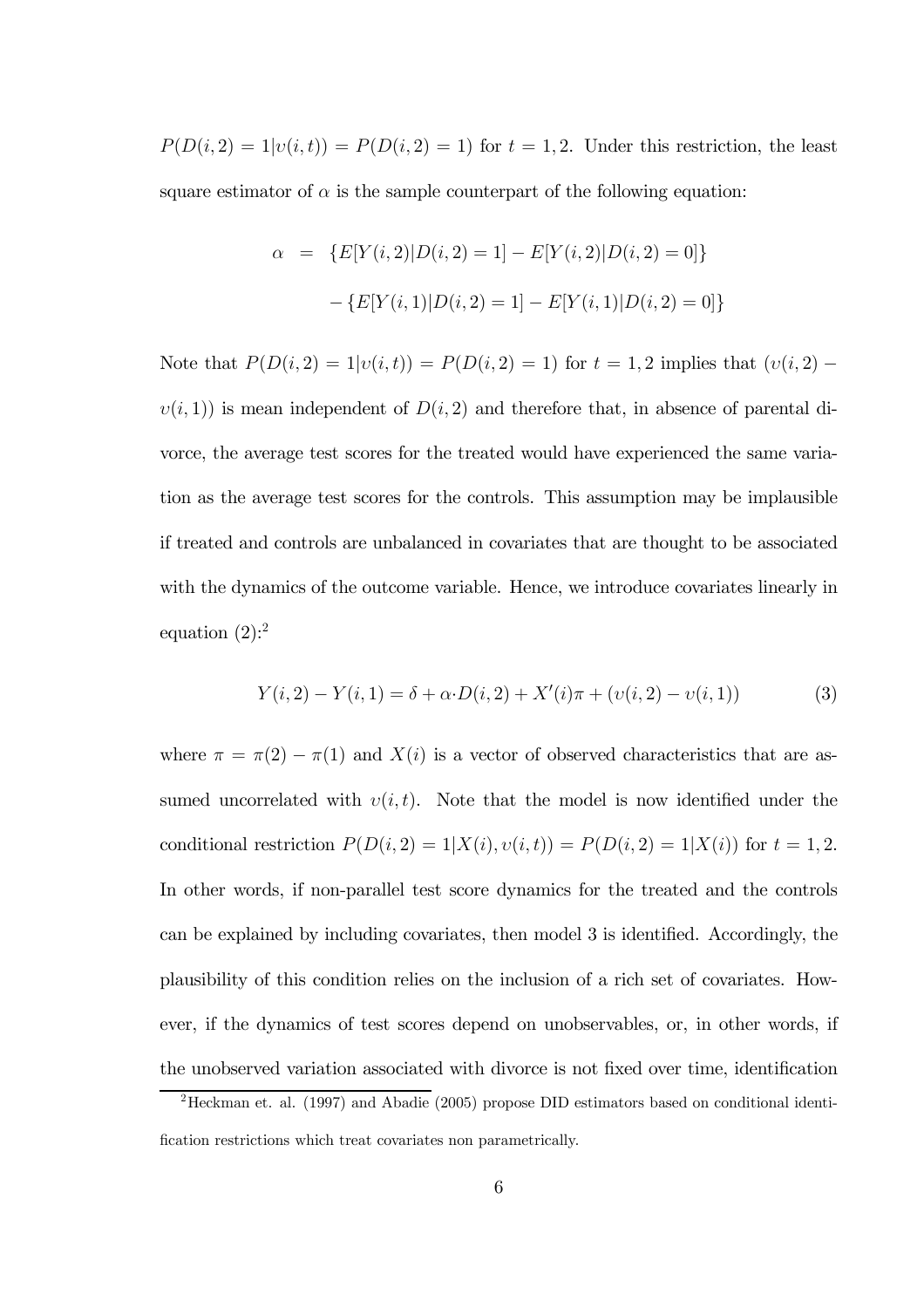$P(D(i, 2) = 1 | v(i, t)) = P(D(i, 2) = 1)$  for  $t = 1, 2$ . Under this restriction, the least square estimator of  $\alpha$  is the sample counterpart of the following equation:

$$
\alpha = \{ E[Y(i, 2)|D(i, 2) = 1] - E[Y(i, 2)|D(i, 2) = 0] \}
$$

$$
- \{ E[Y(i, 1)|D(i, 2) = 1] - E[Y(i, 1)|D(i, 2) = 0] \}
$$

Note that  $P(D(i, 2) = 1|v(i, t)) = P(D(i, 2) = 1)$  for  $t = 1, 2$  implies that  $(v(i, 2)$  $v(i, 1)$  is mean independent of  $D(i, 2)$  and therefore that, in absence of parental divorce, the average test scores for the treated would have experienced the same variation as the average test scores for the controls. This assumption may be implausible if treated and controls are unbalanced in covariates that are thought to be associated with the dynamics of the outcome variable. Hence, we introduce covariates linearly in equation  $(2)$ :<sup>2</sup>

$$
Y(i,2) - Y(i,1) = \delta + \alpha \cdot D(i,2) + X'(i)\pi + (v(i,2) - v(i,1))
$$
\n(3)

where  $\pi = \pi(2) - \pi(1)$  and  $X(i)$  is a vector of observed characteristics that are assumed uncorrelated with  $v(i, t)$ . Note that the model is now identified under the conditional restriction  $P(D(i, 2) = 1 | X(i), v(i, t)) = P(D(i, 2) = 1 | X(i))$  for  $t = 1, 2$ . In other words, if non-parallel test score dynamics for the treated and the controls can be explained by including covariates, then model 3 is identified. Accordingly, the plausibility of this condition relies on the inclusion of a rich set of covariates. However, if the dynamics of test scores depend on unobservables, or, in other words, if the unobserved variation associated with divorce is not fixed over time, identification

<sup>2</sup>Heckman et. al. (1997) and Abadie (2005) propose DID estimators based on conditional identification restrictions which treat covariates non parametrically.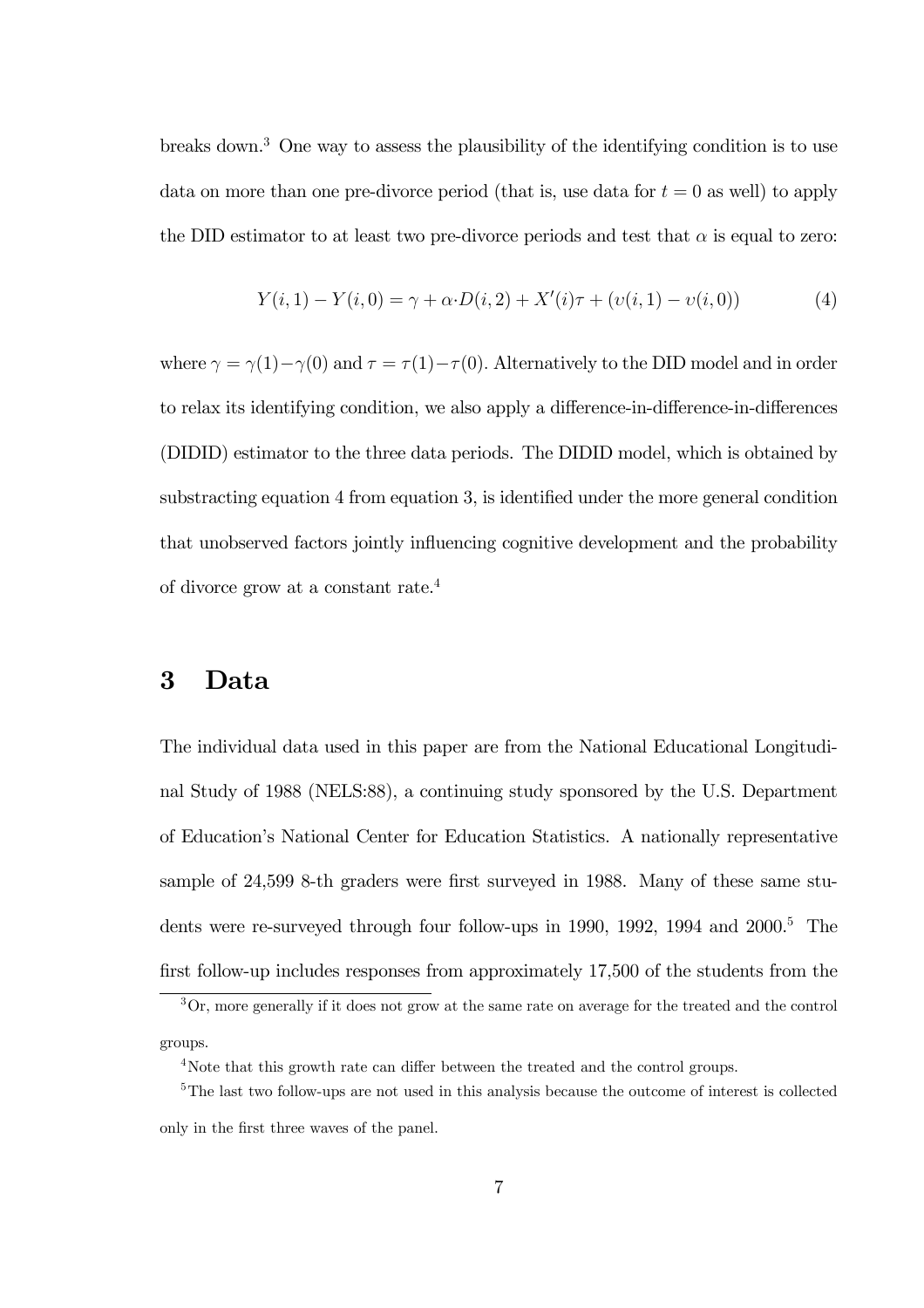breaks down.3 One way to assess the plausibility of the identifying condition is to use data on more than one pre-divorce period (that is, use data for  $t = 0$  as well) to apply the DID estimator to at least two pre-divorce periods and test that  $\alpha$  is equal to zero:

$$
Y(i,1) - Y(i,0) = \gamma + \alpha \cdot D(i,2) + X'(i)\tau + (v(i,1) - v(i,0))
$$
\n(4)

where  $\gamma = \gamma(1) - \gamma(0)$  and  $\tau = \tau(1) - \tau(0)$ . Alternatively to the DID model and in order to relax its identifying condition, we also apply a difference-in-difference-in-differences (DIDID) estimator to the three data periods. The DIDID model, which is obtained by substracting equation 4 from equation 3, is identified under the more general condition that unobserved factors jointly influencing cognitive development and the probability of divorce grow at a constant rate.4

### 3 Data

The individual data used in this paper are from the National Educational Longitudinal Study of 1988 (NELS:88), a continuing study sponsored by the U.S. Department of Education's National Center for Education Statistics. A nationally representative sample of 24,599 8-th graders were first surveyed in 1988. Many of these same students were re-surveyed through four follow-ups in 1990, 1992, 1994 and  $2000$ <sup>5</sup>. The first follow-up includes responses from approximately 17,500 of the students from the

<sup>3</sup>Or, more generally if it does not grow at the same rate on average for the treated and the control groups.

<sup>&</sup>lt;sup>4</sup>Note that this growth rate can differ between the treated and the control groups.

<sup>&</sup>lt;sup>5</sup>The last two follow-ups are not used in this analysis because the outcome of interest is collected only in the first three waves of the panel.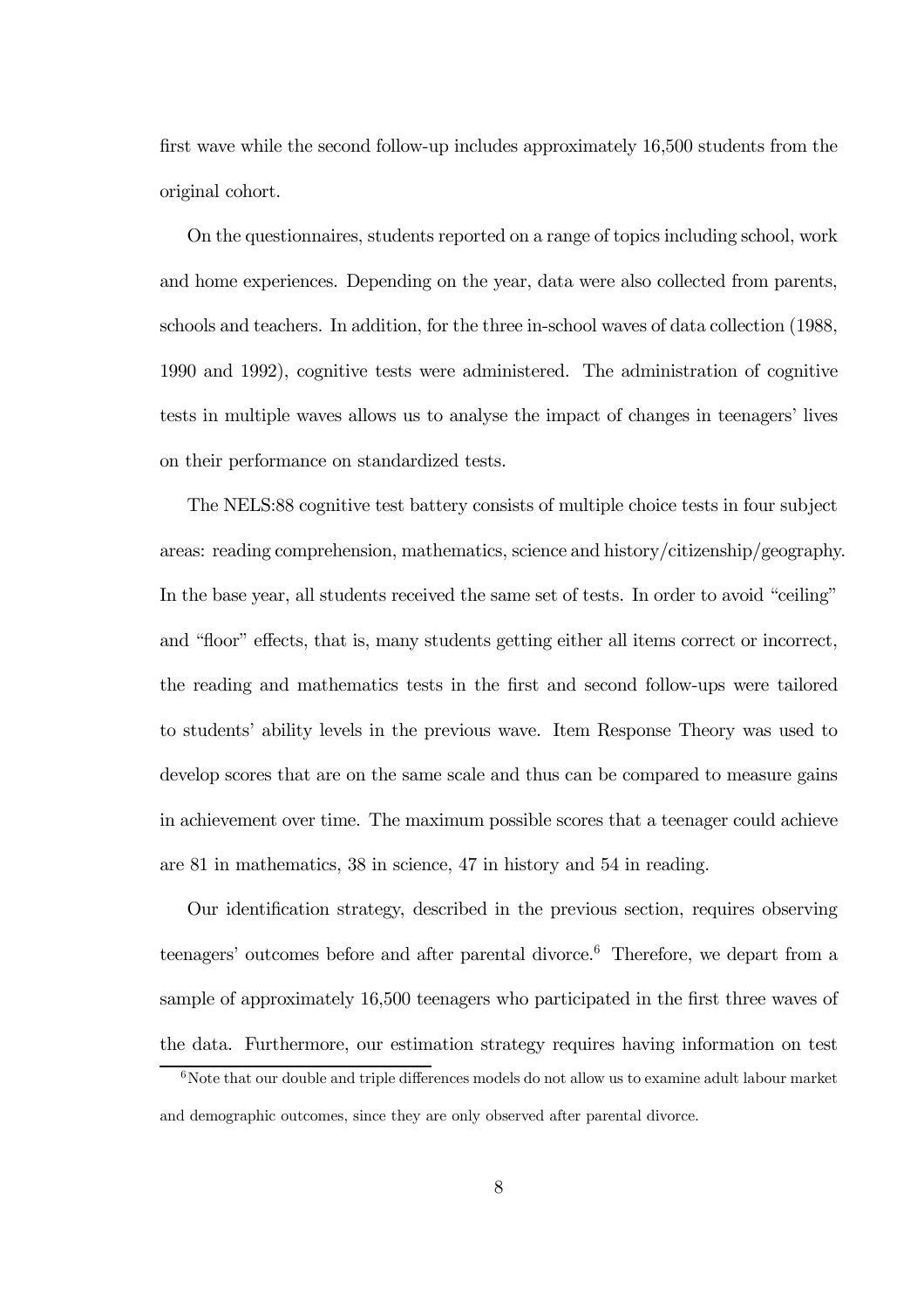first wave while the second follow-up includes approximately 16,500 students from the original cohort.

On the questionnaires, students reported on a range of topics including school, work and home experiences. Depending on the year, data were also collected from parents, schools and teachers. In addition, for the three in-school waves of data collection (1988, 1990 and 1992), cognitive tests were administered. The administration of cognitive tests in multiple waves allows us to analyse the impact of changes in teenagers' lives on their performance on standardized tests.

The NELS:88 cognitive test battery consists of multiple choice tests in four subject areas: reading comprehension, mathematics, science and history/citizenship/geography. In the base year, all students received the same set of tests. In order to avoid "ceiling" and "floor" effects, that is, many students getting either all items correct or incorrect, the reading and mathematics tests in the first and second follow-ups were tailored to students' ability levels in the previous wave. Item Response Theory was used to develop scores that are on the same scale and thus can be compared to measure gains in achievement over time. The maximum possible scores that a teenager could achieve are 81 in mathematics, 38 in science, 47 in history and 54 in reading.

Our identification strategy, described in the previous section, requires observing teenagers' outcomes before and after parental divorce.<sup>6</sup> Therefore, we depart from a sample of approximately 16,500 teenagers who participated in the first three waves of the data. Furthermore, our estimation strategy requires having information on test

 $6N$ ote that our double and triple differences models do not allow us to examine adult labour market and demographic outcomes, since they are only observed after parental divorce.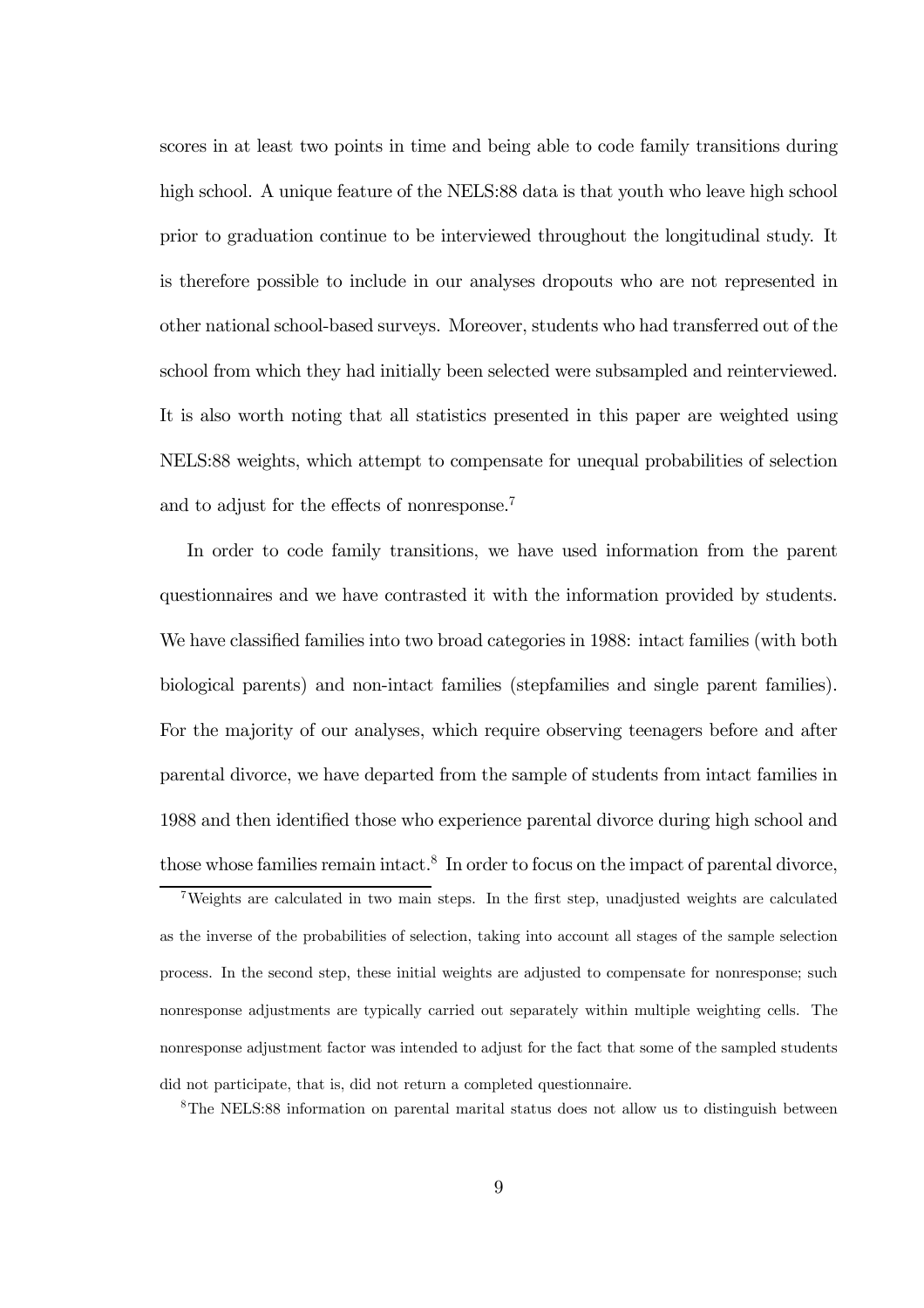scores in at least two points in time and being able to code family transitions during high school. A unique feature of the NELS:88 data is that youth who leave high school prior to graduation continue to be interviewed throughout the longitudinal study. It is therefore possible to include in our analyses dropouts who are not represented in other national school-based surveys. Moreover, students who had transferred out of the school from which they had initially been selected were subsampled and reinterviewed. It is also worth noting that all statistics presented in this paper are weighted using NELS:88 weights, which attempt to compensate for unequal probabilities of selection and to adjust for the effects of nonresponse.7

In order to code family transitions, we have used information from the parent questionnaires and we have contrasted it with the information provided by students. We have classified families into two broad categories in 1988: intact families (with both biological parents) and non-intact families (stepfamilies and single parent families). For the majority of our analyses, which require observing teenagers before and after parental divorce, we have departed from the sample of students from intact families in 1988 and then identified those who experience parental divorce during high school and those whose families remain intact.<sup>8</sup> In order to focus on the impact of parental divorce,

7Weights are calculated in two main steps. In the first step, unadjusted weights are calculated as the inverse of the probabilities of selection, taking into account all stages of the sample selection process. In the second step, these initial weights are adjusted to compensate for nonresponse; such nonresponse adjustments are typically carried out separately within multiple weighting cells. The nonresponse adjustment factor was intended to adjust for the fact that some of the sampled students did not participate, that is, did not return a completed questionnaire.

8The NELS:88 information on parental marital status does not allow us to distinguish between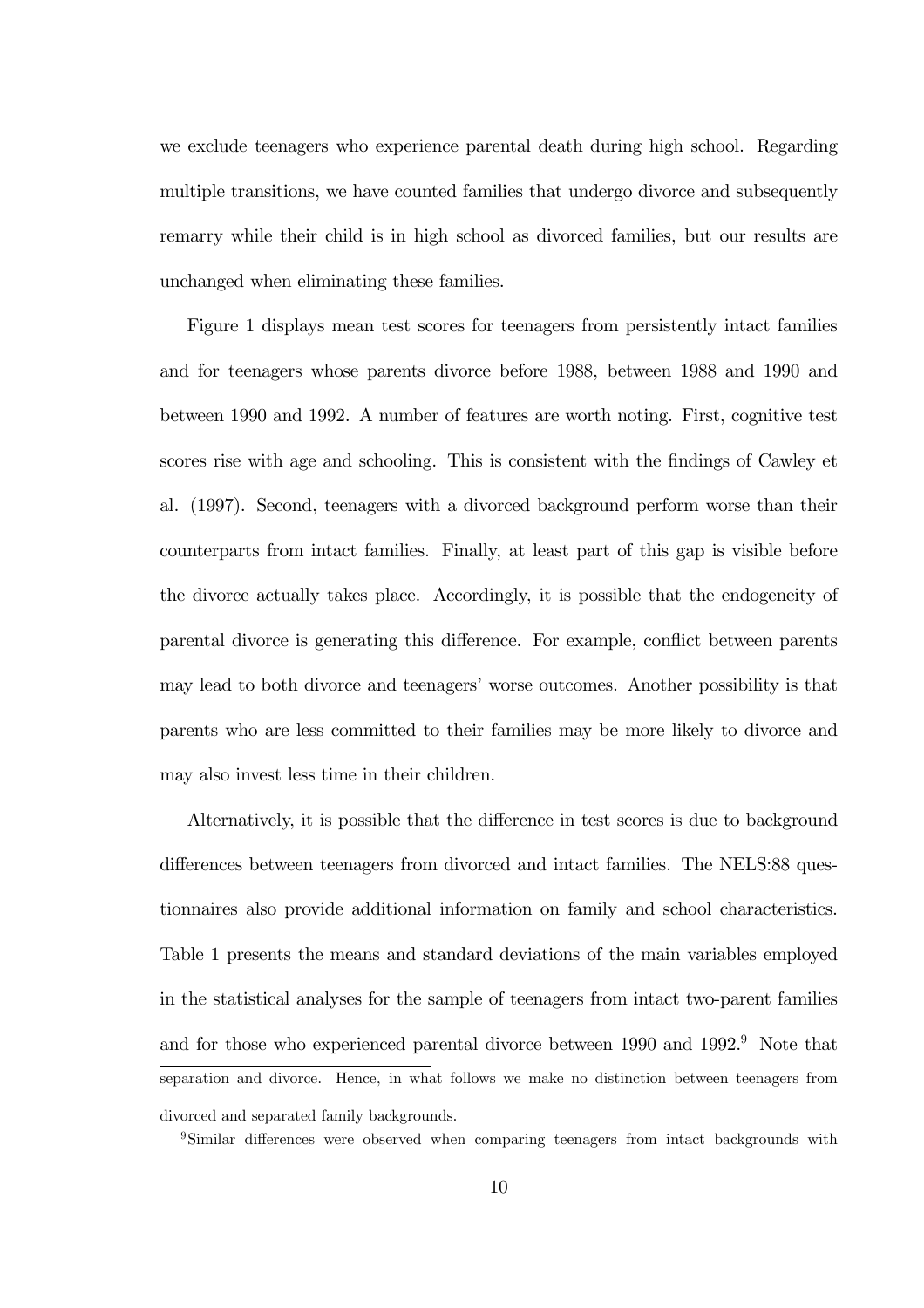we exclude teenagers who experience parental death during high school. Regarding multiple transitions, we have counted families that undergo divorce and subsequently remarry while their child is in high school as divorced families, but our results are unchanged when eliminating these families.

Figure 1 displays mean test scores for teenagers from persistently intact families and for teenagers whose parents divorce before 1988, between 1988 and 1990 and between 1990 and 1992. A number of features are worth noting. First, cognitive test scores rise with age and schooling. This is consistent with the findings of Cawley et al. (1997). Second, teenagers with a divorced background perform worse than their counterparts from intact families. Finally, at least part of this gap is visible before the divorce actually takes place. Accordingly, it is possible that the endogeneity of parental divorce is generating this difference. For example, conflict between parents may lead to both divorce and teenagers' worse outcomes. Another possibility is that parents who are less committed to their families may be more likely to divorce and may also invest less time in their children.

Alternatively, it is possible that the difference in test scores is due to background differences between teenagers from divorced and intact families. The NELS:88 questionnaires also provide additional information on family and school characteristics. Table 1 presents the means and standard deviations of the main variables employed in the statistical analyses for the sample of teenagers from intact two-parent families and for those who experienced parental divorce between 1990 and 1992.<sup>9</sup> Note that separation and divorce. Hence, in what follows we make no distinction between teenagers from divorced and separated family backgrounds.

<sup>9</sup>Similar differences were observed when comparing teenagers from intact backgrounds with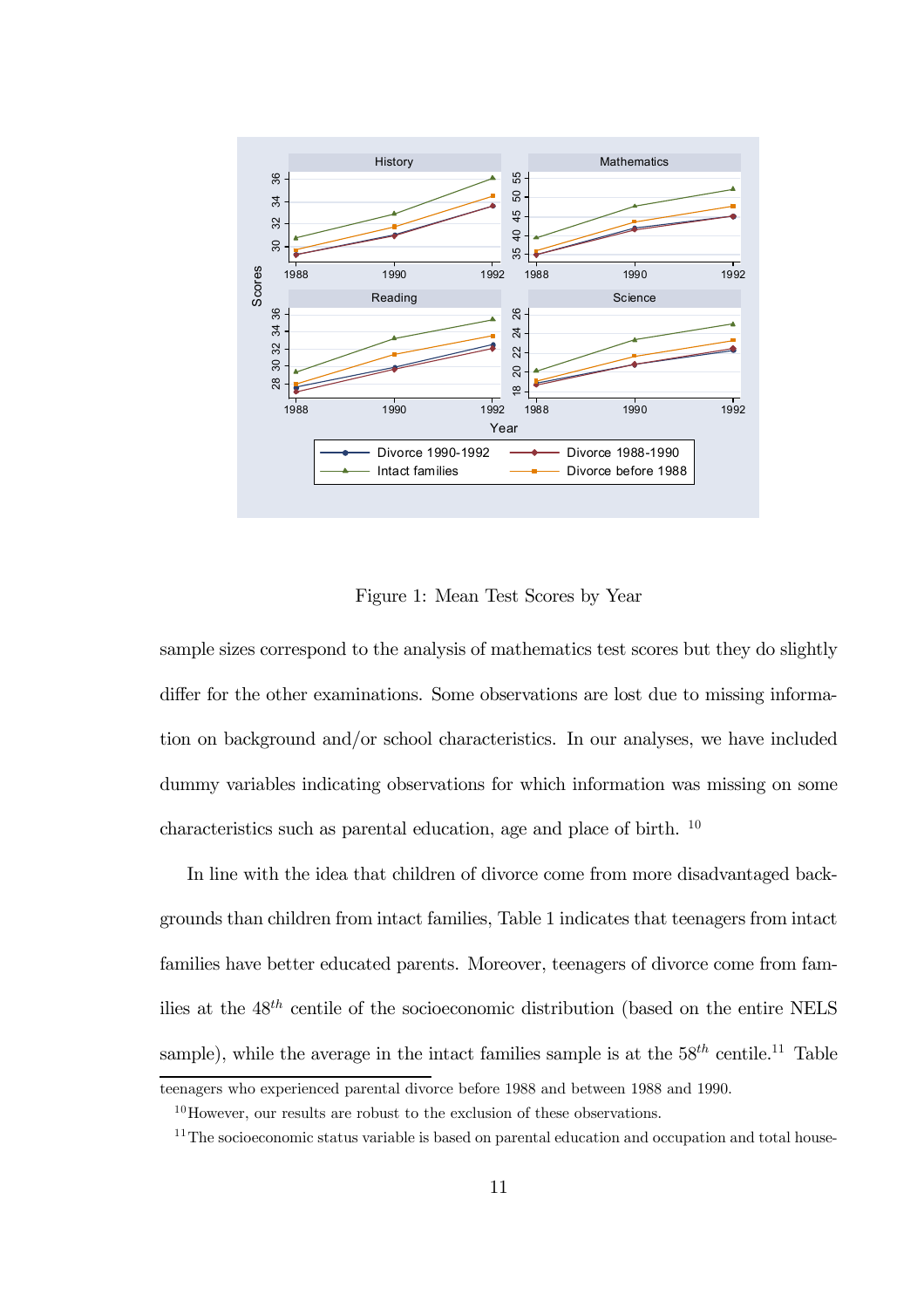

Figure 1: Mean Test Scores by Year

sample sizes correspond to the analysis of mathematics test scores but they do slightly differ for the other examinations. Some observations are lost due to missing information on background and/or school characteristics. In our analyses, we have included dummy variables indicating observations for which information was missing on some characteristics such as parental education, age and place of birth. <sup>10</sup>

In line with the idea that children of divorce come from more disadvantaged backgrounds than children from intact families, Table 1 indicates that teenagers from intact families have better educated parents. Moreover, teenagers of divorce come from families at the  $48^{th}$  centile of the socioeconomic distribution (based on the entire NELS sample), while the average in the intact families sample is at the  $58^{th}$  centile.<sup>11</sup> Table

teenagers who experienced parental divorce before 1988 and between 1988 and 1990.

 $10$ However, our results are robust to the exclusion of these observations.

<sup>&</sup>lt;sup>11</sup>The socioeconomic status variable is based on parental education and occupation and total house-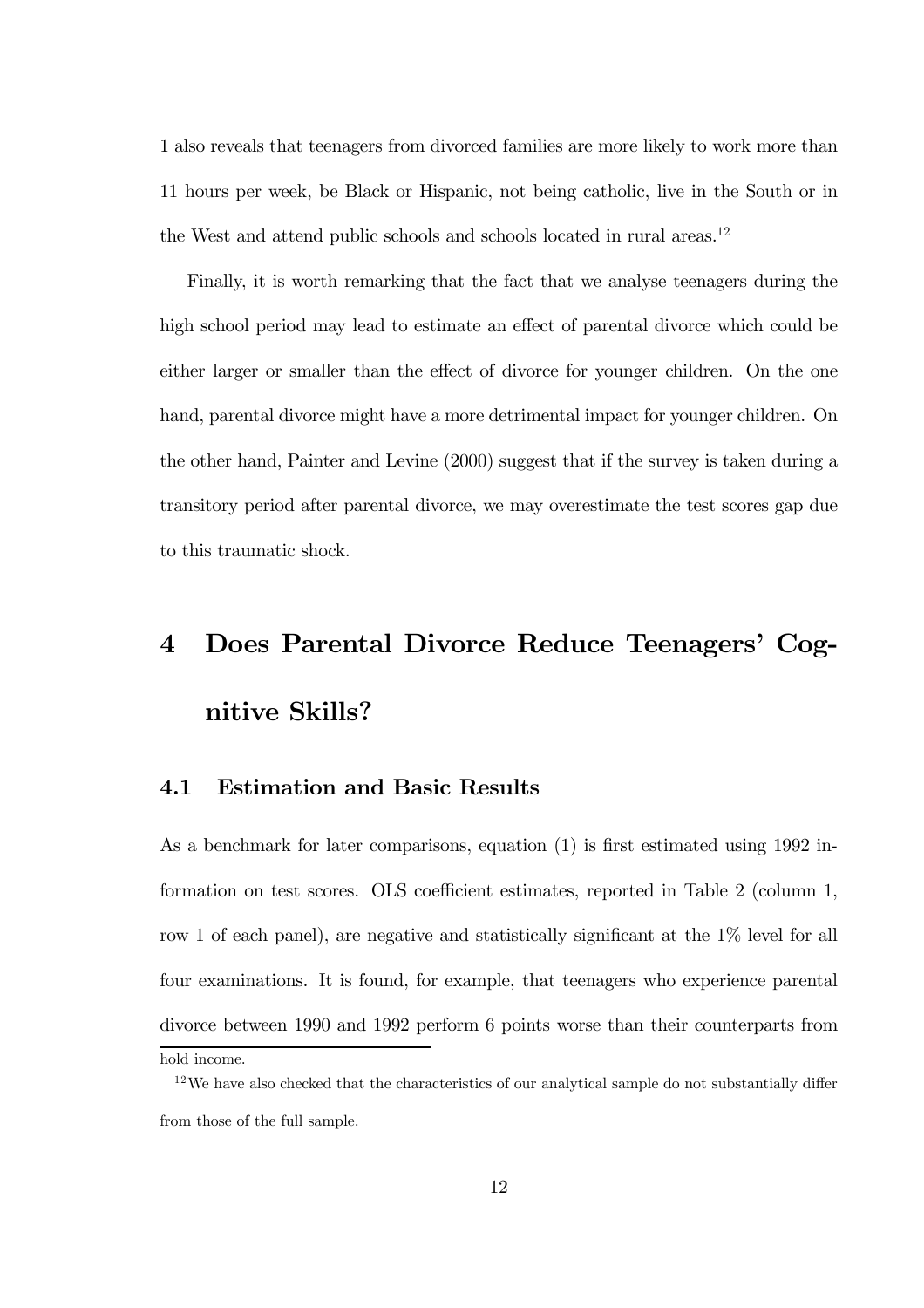1 also reveals that teenagers from divorced families are more likely to work more than 11 hours per week, be Black or Hispanic, not being catholic, live in the South or in the West and attend public schools and schools located in rural areas.<sup>12</sup>

Finally, it is worth remarking that the fact that we analyse teenagers during the high school period may lead to estimate an effect of parental divorce which could be either larger or smaller than the effect of divorce for younger children. On the one hand, parental divorce might have a more detrimental impact for younger children. On the other hand, Painter and Levine (2000) suggest that if the survey is taken during a transitory period after parental divorce, we may overestimate the test scores gap due to this traumatic shock.

## 4 Does Parental Divorce Reduce Teenagers' Cognitive Skills?

### 4.1 Estimation and Basic Results

As a benchmark for later comparisons, equation (1) is first estimated using 1992 information on test scores. OLS coefficient estimates, reported in Table 2 (column 1, row 1 of each panel), are negative and statistically significant at the 1% level for all four examinations. It is found, for example, that teenagers who experience parental divorce between 1990 and 1992 perform 6 points worse than their counterparts from

hold income.

<sup>&</sup>lt;sup>12</sup>We have also checked that the characteristics of our analytical sample do not substantially differ from those of the full sample.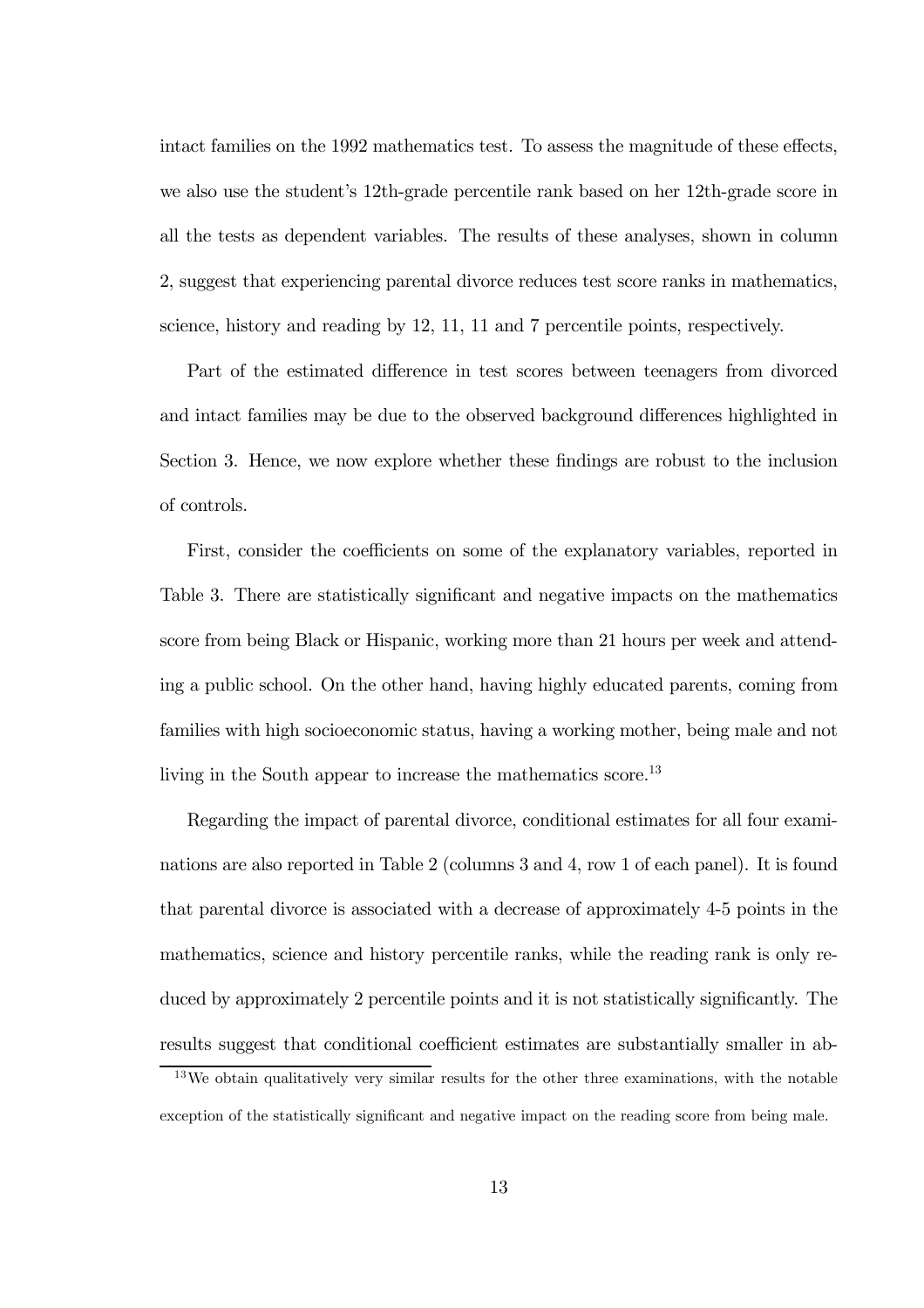intact families on the 1992 mathematics test. To assess the magnitude of these effects, we also use the student's 12th-grade percentile rank based on her 12th-grade score in all the tests as dependent variables. The results of these analyses, shown in column 2, suggest that experiencing parental divorce reduces test score ranks in mathematics, science, history and reading by 12, 11, 11 and 7 percentile points, respectively.

Part of the estimated difference in test scores between teenagers from divorced and intact families may be due to the observed background differences highlighted in Section 3. Hence, we now explore whether these findings are robust to the inclusion of controls.

First, consider the coefficients on some of the explanatory variables, reported in Table 3. There are statistically significant and negative impacts on the mathematics score from being Black or Hispanic, working more than 21 hours per week and attending a public school. On the other hand, having highly educated parents, coming from families with high socioeconomic status, having a working mother, being male and not living in the South appear to increase the mathematics score.<sup>13</sup>

Regarding the impact of parental divorce, conditional estimates for all four examinations are also reported in Table 2 (columns 3 and 4, row 1 of each panel). It is found that parental divorce is associated with a decrease of approximately 4-5 points in the mathematics, science and history percentile ranks, while the reading rank is only reduced by approximately 2 percentile points and it is not statistically significantly. The results suggest that conditional coefficient estimates are substantially smaller in ab-

<sup>&</sup>lt;sup>13</sup>We obtain qualitatively very similar results for the other three examinations, with the notable exception of the statistically significant and negative impact on the reading score from being male.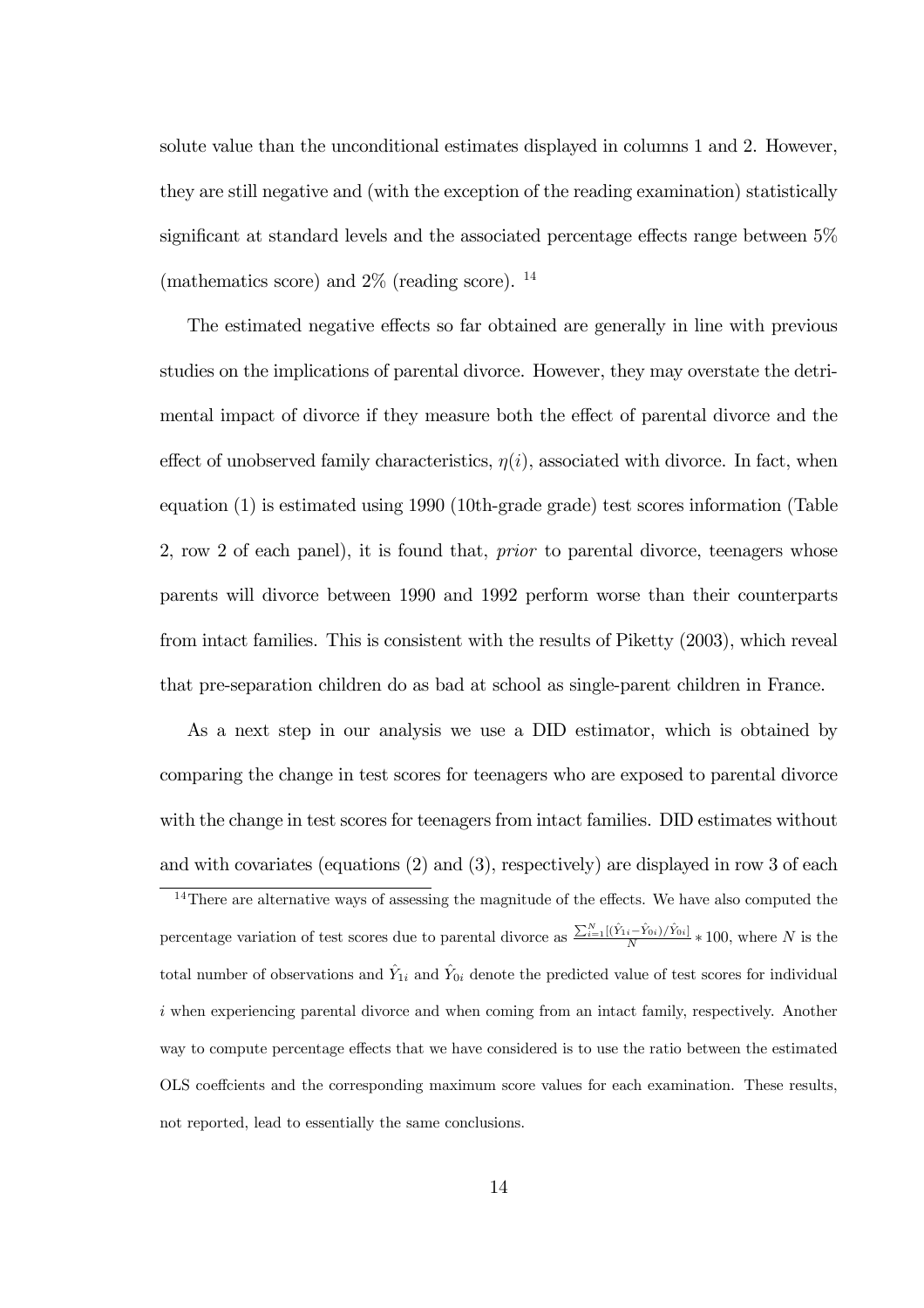solute value than the unconditional estimates displayed in columns 1 and 2. However, they are still negative and (with the exception of the reading examination) statistically significant at standard levels and the associated percentage effects range between 5% (mathematics score) and  $2\%$  (reading score). <sup>14</sup>

The estimated negative effects so far obtained are generally in line with previous studies on the implications of parental divorce. However, they may overstate the detrimental impact of divorce if they measure both the effect of parental divorce and the effect of unobserved family characteristics,  $\eta(i)$ , associated with divorce. In fact, when equation (1) is estimated using 1990 (10th-grade grade) test scores information (Table 2, row 2 of each panel), it is found that, prior to parental divorce, teenagers whose parents will divorce between 1990 and 1992 perform worse than their counterparts from intact families. This is consistent with the results of Piketty (2003), which reveal that pre-separation children do as bad at school as single-parent children in France.

As a next step in our analysis we use a DID estimator, which is obtained by comparing the change in test scores for teenagers who are exposed to parental divorce with the change in test scores for teenagers from intact families. DID estimates without and with covariates (equations (2) and (3), respectively) are displayed in row 3 of each

<sup>&</sup>lt;sup>14</sup>There are alternative ways of assessing the magnitude of the effects. We have also computed the percentage variation of test scores due to parental divorce as  $\frac{\sum_{i=1}^{N}[(\hat{Y}_{1i}-\hat{Y}_{0i})/\hat{Y}_{0i}]}{N} * 100$ , where N is the total number of observations and  $\hat{Y}_{1i}$  and  $\hat{Y}_{0i}$  denote the predicted value of test scores for individual i when experiencing parental divorce and when coming from an intact family, respectively. Another way to compute percentage effects that we have considered is to use the ratio between the estimated OLS coeffcients and the corresponding maximum score values for each examination. These results, not reported, lead to essentially the same conclusions.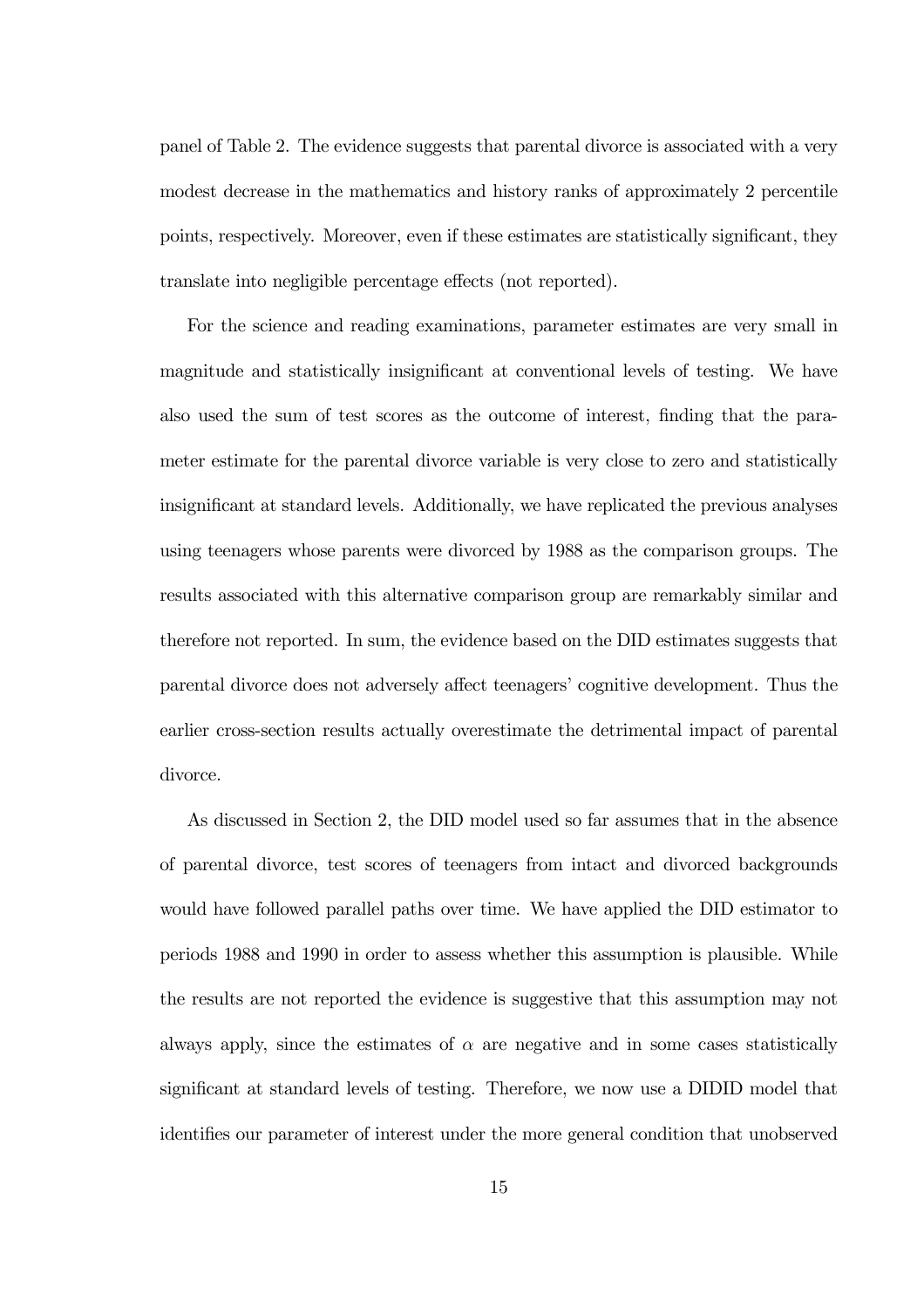panel of Table 2. The evidence suggests that parental divorce is associated with a very modest decrease in the mathematics and history ranks of approximately 2 percentile points, respectively. Moreover, even if these estimates are statistically significant, they translate into negligible percentage effects (not reported).

For the science and reading examinations, parameter estimates are very small in magnitude and statistically insignificant at conventional levels of testing. We have also used the sum of test scores as the outcome of interest, finding that the parameter estimate for the parental divorce variable is very close to zero and statistically insignificant at standard levels. Additionally, we have replicated the previous analyses using teenagers whose parents were divorced by 1988 as the comparison groups. The results associated with this alternative comparison group are remarkably similar and therefore not reported. In sum, the evidence based on the DID estimates suggests that parental divorce does not adversely affect teenagers' cognitive development. Thus the earlier cross-section results actually overestimate the detrimental impact of parental divorce.

As discussed in Section 2, the DID model used so far assumes that in the absence of parental divorce, test scores of teenagers from intact and divorced backgrounds would have followed parallel paths over time. We have applied the DID estimator to periods 1988 and 1990 in order to assess whether this assumption is plausible. While the results are not reported the evidence is suggestive that this assumption may not always apply, since the estimates of  $\alpha$  are negative and in some cases statistically significant at standard levels of testing. Therefore, we now use a DIDID model that identifies our parameter of interest under the more general condition that unobserved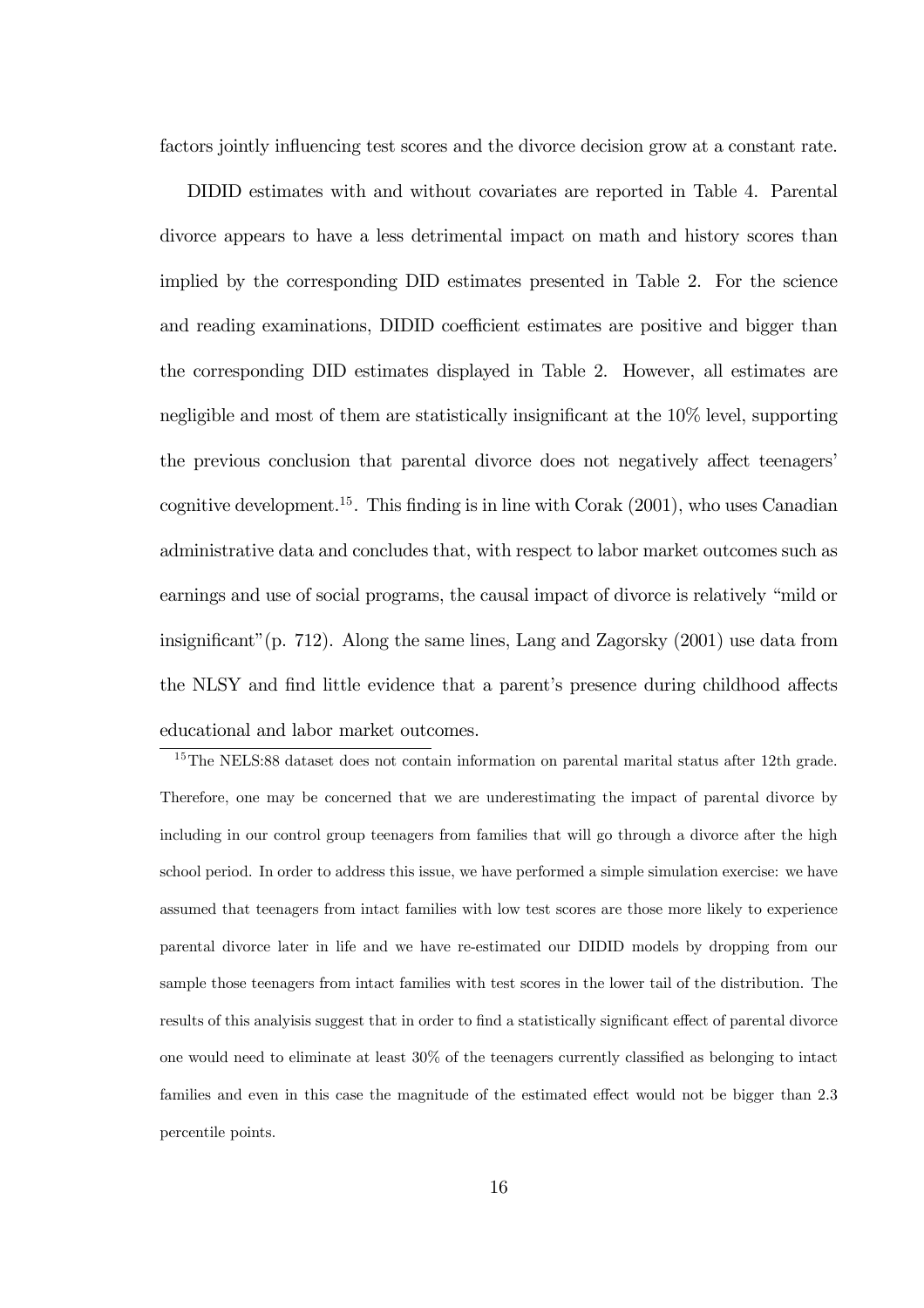factors jointly influencing test scores and the divorce decision grow at a constant rate.

DIDID estimates with and without covariates are reported in Table 4. Parental divorce appears to have a less detrimental impact on math and history scores than implied by the corresponding DID estimates presented in Table 2. For the science and reading examinations, DIDID coefficient estimates are positive and bigger than the corresponding DID estimates displayed in Table 2. However, all estimates are negligible and most of them are statistically insignificant at the 10% level, supporting the previous conclusion that parental divorce does not negatively affect teenagers' cognitive development.<sup>15</sup>. This finding is in line with Corak  $(2001)$ , who uses Canadian administrative data and concludes that, with respect to labor market outcomes such as earnings and use of social programs, the causal impact of divorce is relatively "mild or insignificant"(p. 712). Along the same lines, Lang and Zagorsky (2001) use data from the NLSY and find little evidence that a parent's presence during childhood affects educational and labor market outcomes.

<sup>&</sup>lt;sup>15</sup>The NELS:88 dataset does not contain information on parental marital status after 12th grade. Therefore, one may be concerned that we are underestimating the impact of parental divorce by including in our control group teenagers from families that will go through a divorce after the high school period. In order to address this issue, we have performed a simple simulation exercise: we have assumed that teenagers from intact families with low test scores are those more likely to experience parental divorce later in life and we have re-estimated our DIDID models by dropping from our sample those teenagers from intact families with test scores in the lower tail of the distribution. The results of this analyisis suggest that in order to find a statistically significant effect of parental divorce one would need to eliminate at least 30% of the teenagers currently classified as belonging to intact families and even in this case the magnitude of the estimated effect would not be bigger than 2.3 percentile points.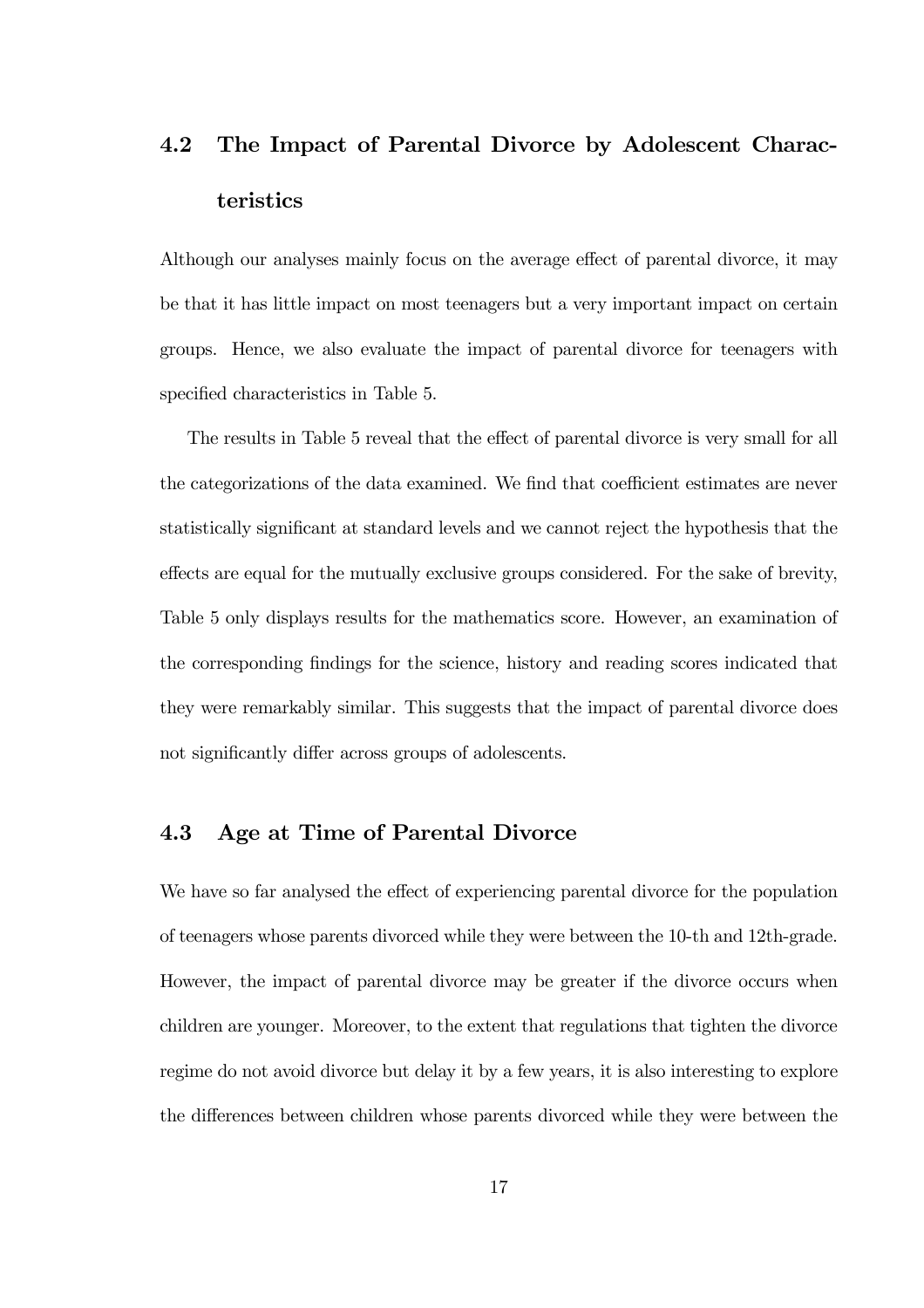## 4.2 The Impact of Parental Divorce by Adolescent Characteristics

Although our analyses mainly focus on the average effect of parental divorce, it may be that it has little impact on most teenagers but a very important impact on certain groups. Hence, we also evaluate the impact of parental divorce for teenagers with specified characteristics in Table 5.

The results in Table 5 reveal that the effect of parental divorce is very small for all the categorizations of the data examined. We find that coefficient estimates are never statistically significant at standard levels and we cannot reject the hypothesis that the effects are equal for the mutually exclusive groups considered. For the sake of brevity, Table 5 only displays results for the mathematics score. However, an examination of the corresponding findings for the science, history and reading scores indicated that they were remarkably similar. This suggests that the impact of parental divorce does not significantly differ across groups of adolescents.

### 4.3 Age at Time of Parental Divorce

We have so far analysed the effect of experiencing parental divorce for the population of teenagers whose parents divorced while they were between the 10-th and 12th-grade. However, the impact of parental divorce may be greater if the divorce occurs when children are younger. Moreover, to the extent that regulations that tighten the divorce regime do not avoid divorce but delay it by a few years, it is also interesting to explore the differences between children whose parents divorced while they were between the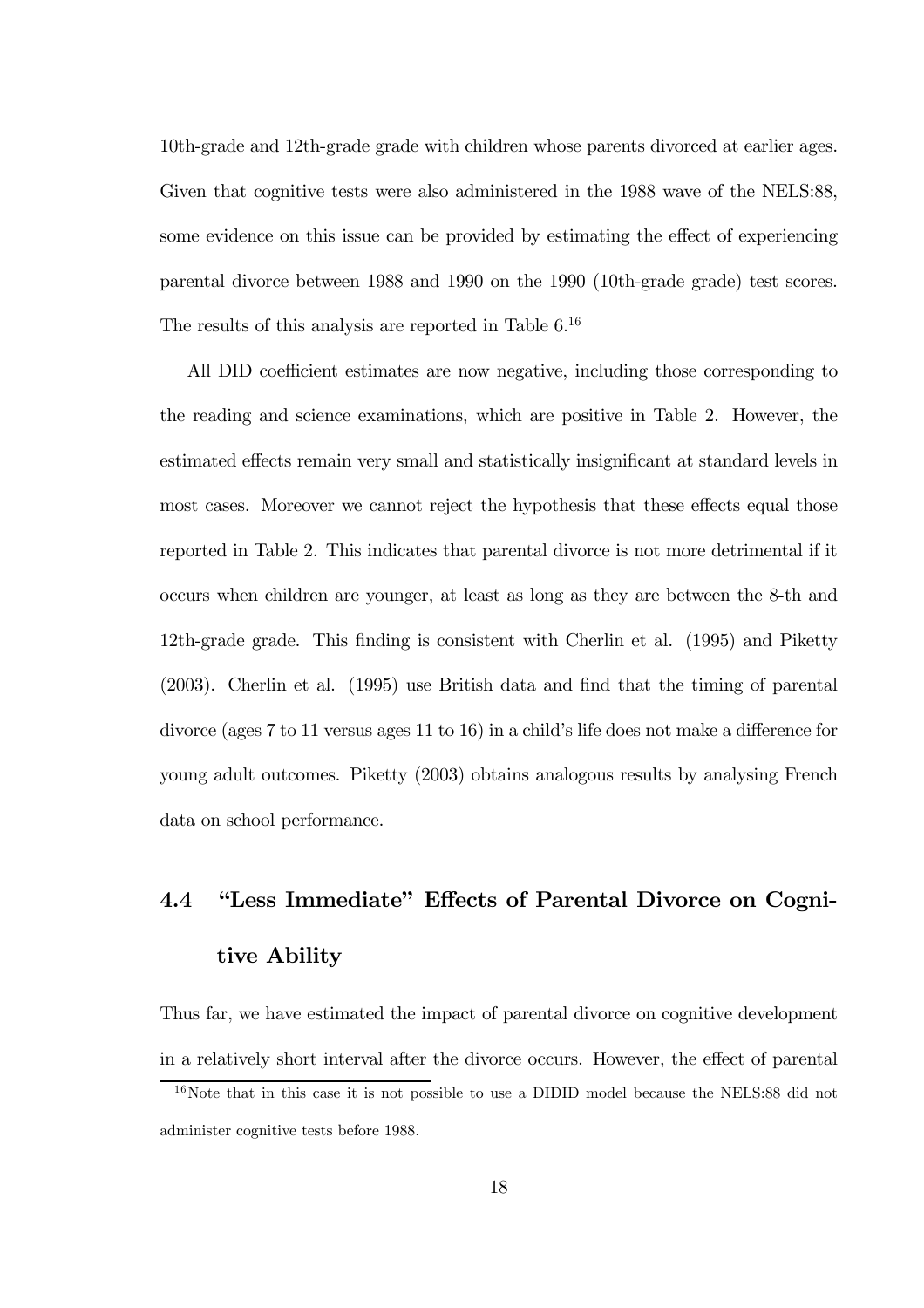10th-grade and 12th-grade grade with children whose parents divorced at earlier ages. Given that cognitive tests were also administered in the 1988 wave of the NELS:88, some evidence on this issue can be provided by estimating the effect of experiencing parental divorce between 1988 and 1990 on the 1990 (10th-grade grade) test scores. The results of this analysis are reported in Table 6.16

All DID coefficient estimates are now negative, including those corresponding to the reading and science examinations, which are positive in Table 2. However, the estimated effects remain very small and statistically insignificant at standard levels in most cases. Moreover we cannot reject the hypothesis that these effects equal those reported in Table 2. This indicates that parental divorce is not more detrimental if it occurs when children are younger, at least as long as they are between the 8-th and 12th-grade grade. This finding is consistent with Cherlin et al. (1995) and Piketty (2003). Cherlin et al. (1995) use British data and find that the timing of parental divorce (ages 7 to 11 versus ages 11 to 16) in a child's life does not make a difference for young adult outcomes. Piketty (2003) obtains analogous results by analysing French data on school performance.

## 4.4 "Less Immediate" Effects of Parental Divorce on Cognitive Ability

Thus far, we have estimated the impact of parental divorce on cognitive development in a relatively short interval after the divorce occurs. However, the effect of parental

<sup>&</sup>lt;sup>16</sup>Note that in this case it is not possible to use a DIDID model because the NELS:88 did not administer cognitive tests before 1988.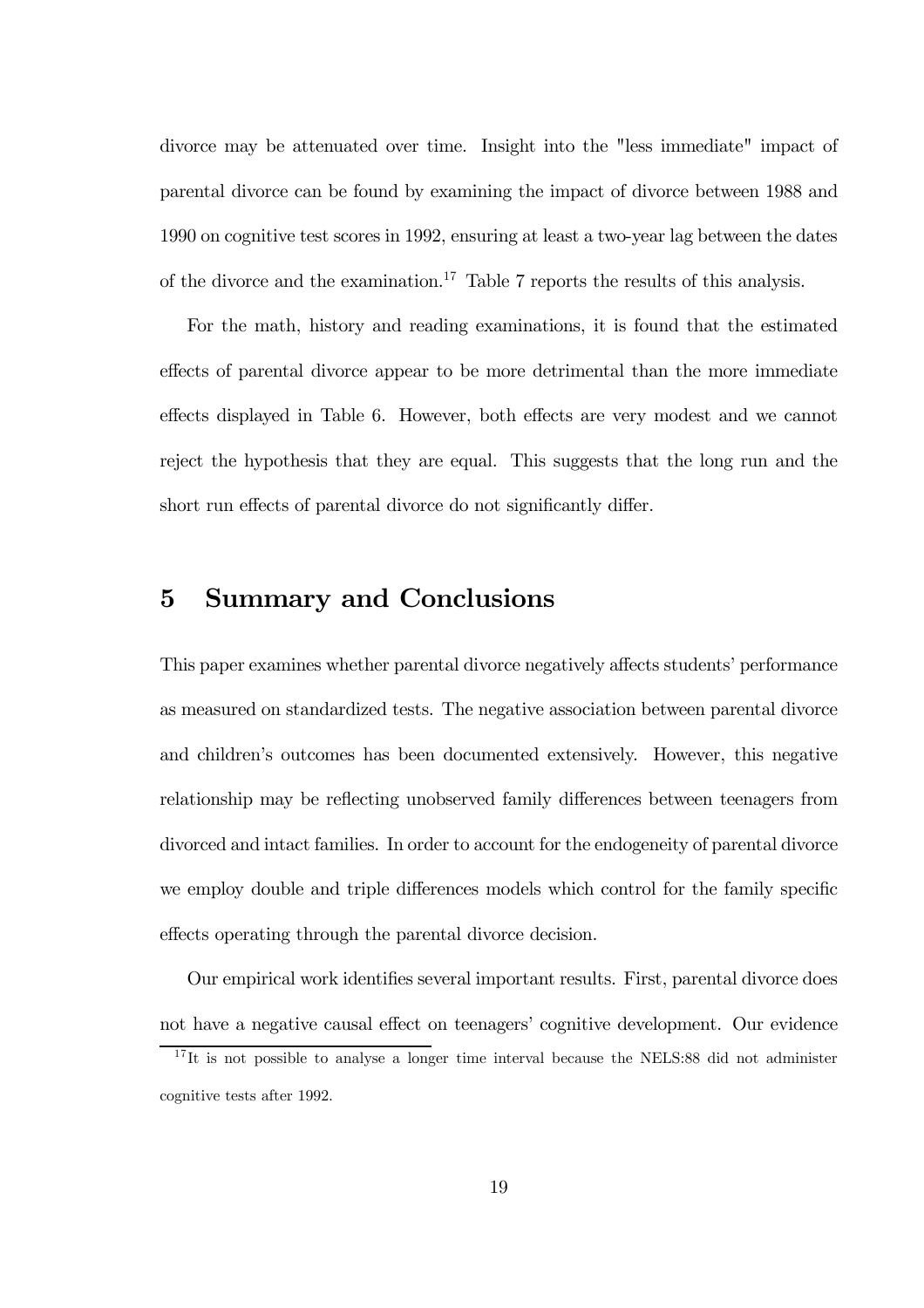divorce may be attenuated over time. Insight into the "less immediate" impact of parental divorce can be found by examining the impact of divorce between 1988 and 1990 on cognitive test scores in 1992, ensuring at least a two-year lag between the dates of the divorce and the examination.<sup>17</sup> Table 7 reports the results of this analysis.

For the math, history and reading examinations, it is found that the estimated effects of parental divorce appear to be more detrimental than the more immediate effects displayed in Table 6. However, both effects are very modest and we cannot reject the hypothesis that they are equal. This suggests that the long run and the short run effects of parental divorce do not significantly differ.

### 5 Summary and Conclusions

This paper examines whether parental divorce negatively affects students' performance as measured on standardized tests. The negative association between parental divorce and children's outcomes has been documented extensively. However, this negative relationship may be reflecting unobserved family differences between teenagers from divorced and intact families. In order to account for the endogeneity of parental divorce we employ double and triple differences models which control for the family specific effects operating through the parental divorce decision.

Our empirical work identifies several important results. First, parental divorce does not have a negative causal effect on teenagers' cognitive development. Our evidence

 $17$ It is not possible to analyse a longer time interval because the NELS:88 did not administer cognitive tests after 1992.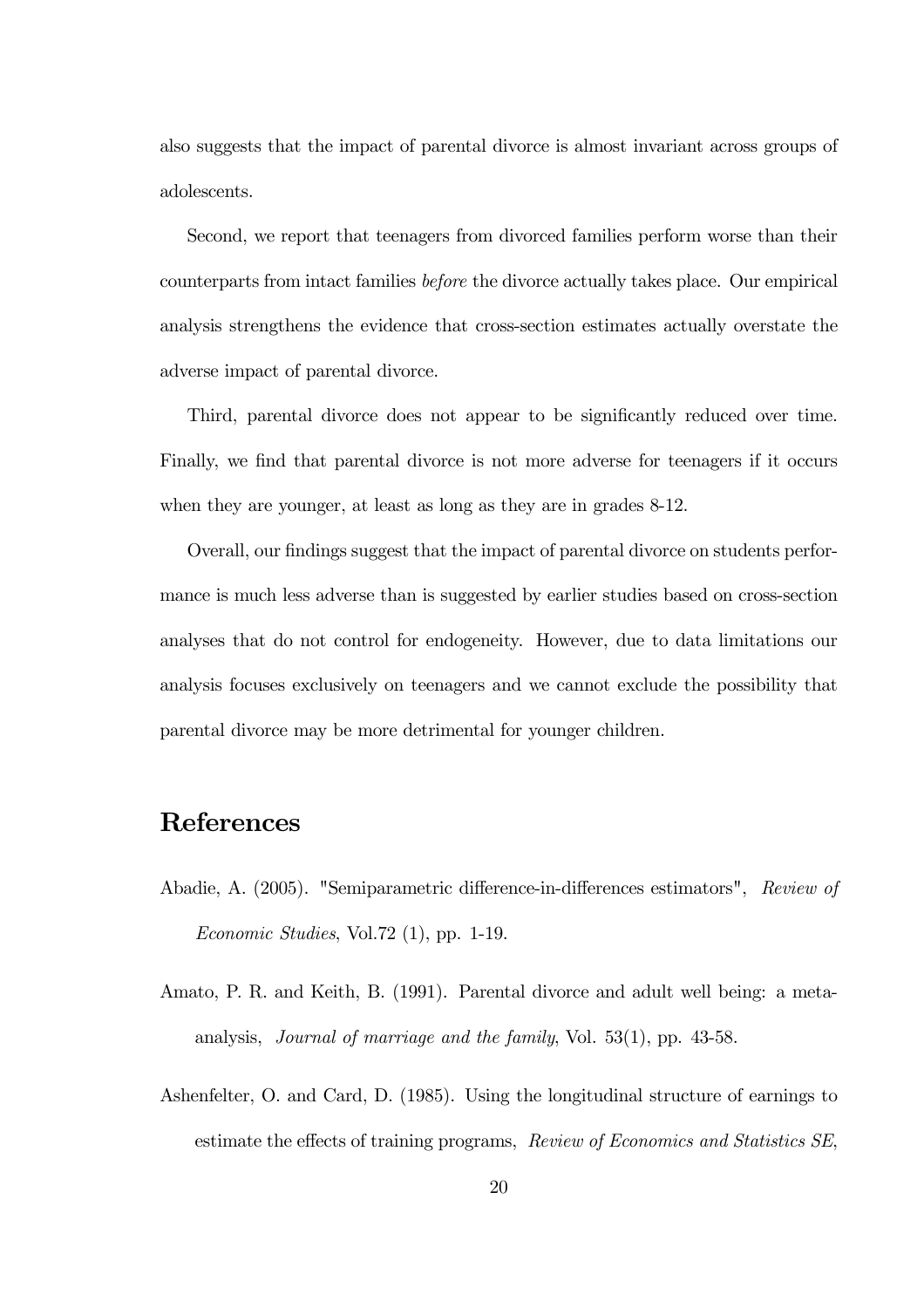also suggests that the impact of parental divorce is almost invariant across groups of adolescents.

Second, we report that teenagers from divorced families perform worse than their counterparts from intact families before the divorce actually takes place. Our empirical analysis strengthens the evidence that cross-section estimates actually overstate the adverse impact of parental divorce.

Third, parental divorce does not appear to be significantly reduced over time. Finally, we find that parental divorce is not more adverse for teenagers if it occurs when they are younger, at least as long as they are in grades 8-12.

Overall, our findings suggest that the impact of parental divorce on students performance is much less adverse than is suggested by earlier studies based on cross-section analyses that do not control for endogeneity. However, due to data limitations our analysis focuses exclusively on teenagers and we cannot exclude the possibility that parental divorce may be more detrimental for younger children.

### References

- Abadie, A. (2005). "Semiparametric difference-in-differences estimators", Review of Economic Studies, Vol.72 (1), pp. 1-19.
- Amato, P. R. and Keith, B. (1991). Parental divorce and adult well being: a metaanalysis, Journal of marriage and the family, Vol. 53(1), pp. 43-58.
- Ashenfelter, O. and Card, D. (1985). Using the longitudinal structure of earnings to estimate the effects of training programs, Review of Economics and Statistics SE,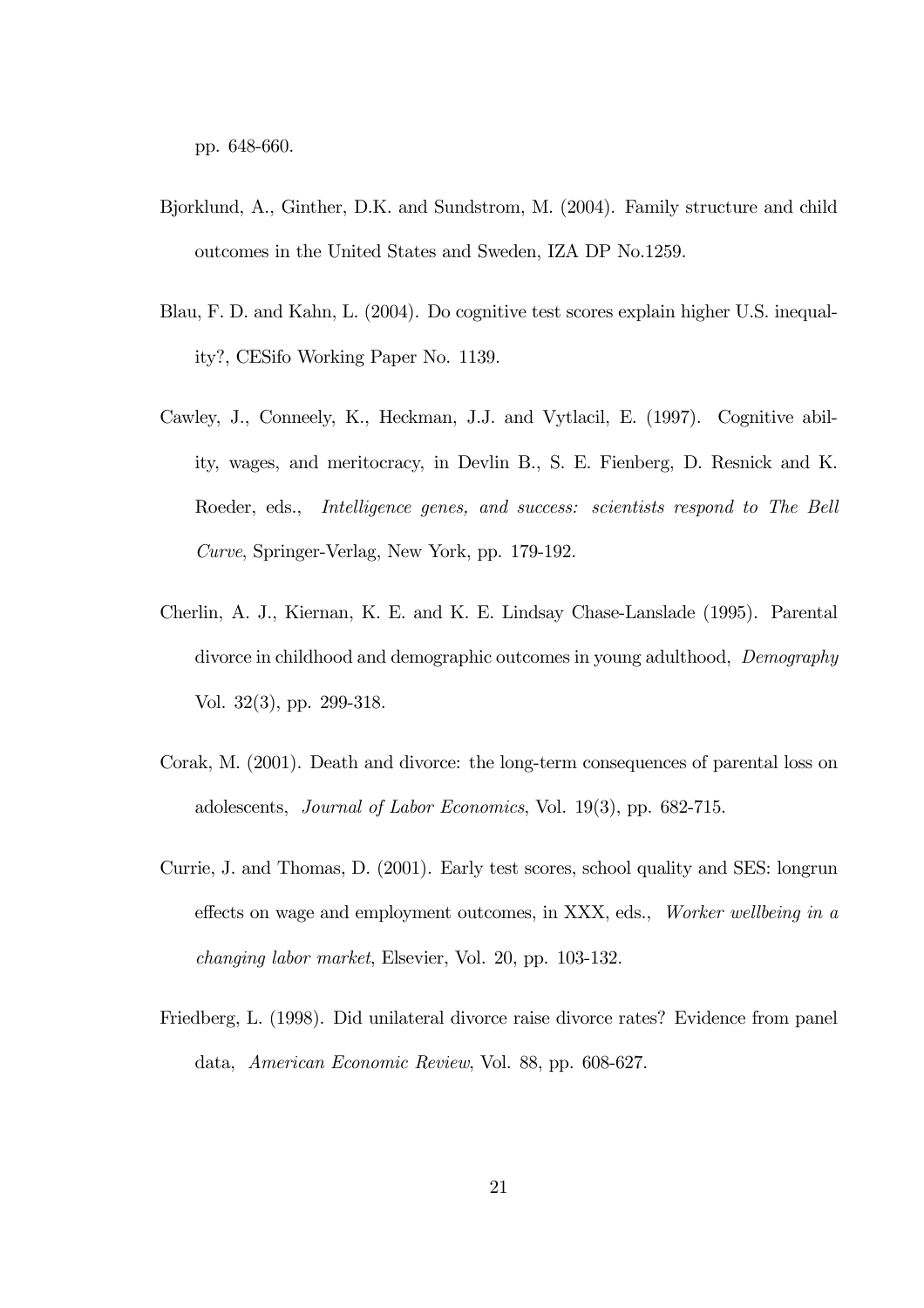pp. 648-660.

- Bjorklund, A., Ginther, D.K. and Sundstrom, M. (2004). Family structure and child outcomes in the United States and Sweden, IZA DP No.1259.
- Blau, F. D. and Kahn, L. (2004). Do cognitive test scores explain higher U.S. inequality?, CESifo Working Paper No. 1139.
- Cawley, J., Conneely, K., Heckman, J.J. and Vytlacil, E. (1997). Cognitive ability, wages, and meritocracy, in Devlin B., S. E. Fienberg, D. Resnick and K. Roeder, eds., Intelligence genes, and success: scientists respond to The Bell Curve, Springer-Verlag, New York, pp. 179-192.
- Cherlin, A. J., Kiernan, K. E. and K. E. Lindsay Chase-Lanslade (1995). Parental divorce in childhood and demographic outcomes in young adulthood, *Demography* Vol. 32(3), pp. 299-318.
- Corak, M. (2001). Death and divorce: the long-term consequences of parental loss on adolescents, Journal of Labor Economics, Vol. 19(3), pp. 682-715.
- Currie, J. and Thomas, D. (2001). Early test scores, school quality and SES: longrun effects on wage and employment outcomes, in XXX, eds., Worker wellbeing in a changing labor market, Elsevier, Vol. 20, pp. 103-132.
- Friedberg, L. (1998). Did unilateral divorce raise divorce rates? Evidence from panel data, American Economic Review, Vol. 88, pp. 608-627.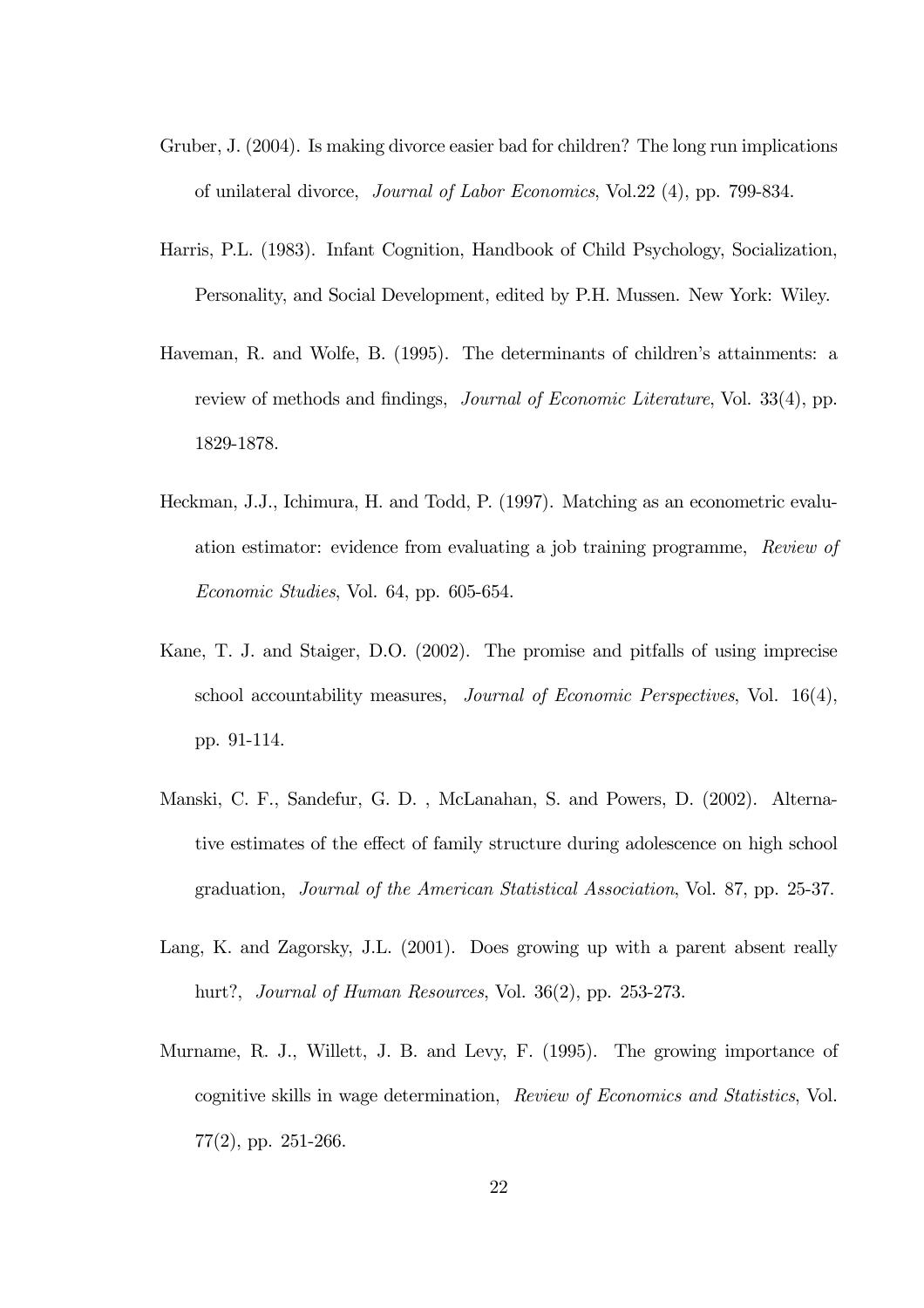- Gruber, J. (2004). Is making divorce easier bad for children? The long run implications of unilateral divorce, Journal of Labor Economics, Vol.22 (4), pp. 799-834.
- Harris, P.L. (1983). Infant Cognition, Handbook of Child Psychology, Socialization, Personality, and Social Development, edited by P.H. Mussen. New York: Wiley.
- Haveman, R. and Wolfe, B. (1995). The determinants of children's attainments: a review of methods and findings, *Journal of Economic Literature*, Vol. 33(4), pp. 1829-1878.
- Heckman, J.J., Ichimura, H. and Todd, P. (1997). Matching as an econometric evaluation estimator: evidence from evaluating a job training programme, Review of Economic Studies, Vol. 64, pp. 605-654.
- Kane, T. J. and Staiger, D.O. (2002). The promise and pitfalls of using imprecise school accountability measures, Journal of Economic Perspectives, Vol. 16(4), pp. 91-114.
- Manski, C. F., Sandefur, G. D. , McLanahan, S. and Powers, D. (2002). Alternative estimates of the effect of family structure during adolescence on high school graduation, Journal of the American Statistical Association, Vol. 87, pp. 25-37.
- Lang, K. and Zagorsky, J.L. (2001). Does growing up with a parent absent really hurt?, Journal of Human Resources, Vol. 36(2), pp. 253-273.
- Murname, R. J., Willett, J. B. and Levy, F. (1995). The growing importance of cognitive skills in wage determination, Review of Economics and Statistics, Vol. 77(2), pp. 251-266.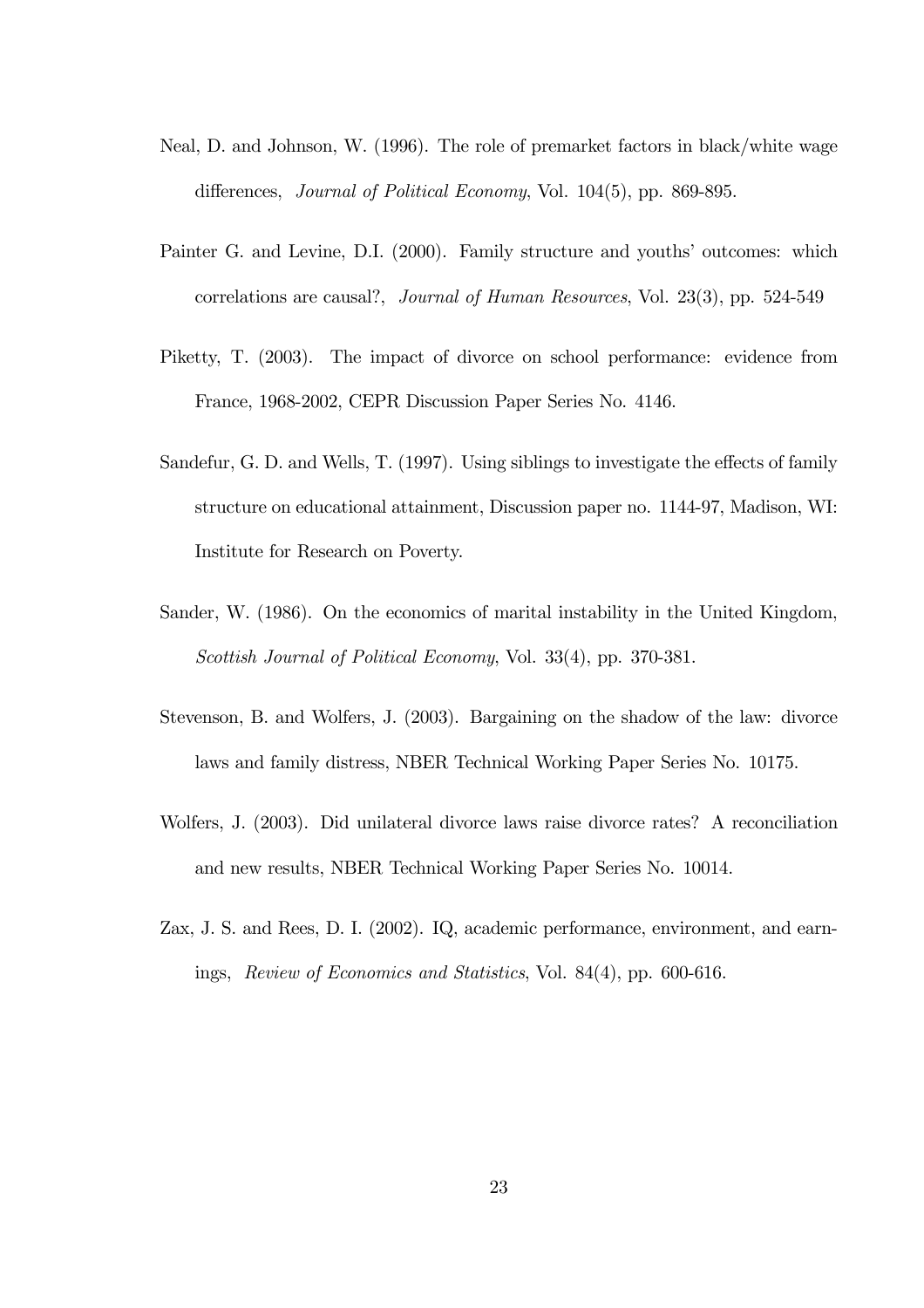- Neal, D. and Johnson, W. (1996). The role of premarket factors in black/white wage differences, *Journal of Political Economy*, Vol. 104(5), pp. 869-895.
- Painter G. and Levine, D.I. (2000). Family structure and youths' outcomes: which correlations are causal?, Journal of Human Resources, Vol. 23(3), pp. 524-549
- Piketty, T. (2003). The impact of divorce on school performance: evidence from France, 1968-2002, CEPR Discussion Paper Series No. 4146.
- Sandefur, G. D. and Wells, T. (1997). Using siblings to investigate the effects of family structure on educational attainment, Discussion paper no. 1144-97, Madison, WI: Institute for Research on Poverty.
- Sander, W. (1986). On the economics of marital instability in the United Kingdom, Scottish Journal of Political Economy, Vol. 33(4), pp. 370-381.
- Stevenson, B. and Wolfers, J. (2003). Bargaining on the shadow of the law: divorce laws and family distress, NBER Technical Working Paper Series No. 10175.
- Wolfers, J. (2003). Did unilateral divorce laws raise divorce rates? A reconciliation and new results, NBER Technical Working Paper Series No. 10014.
- Zax, J. S. and Rees, D. I. (2002). IQ, academic performance, environment, and earnings, Review of Economics and Statistics, Vol. 84(4), pp. 600-616.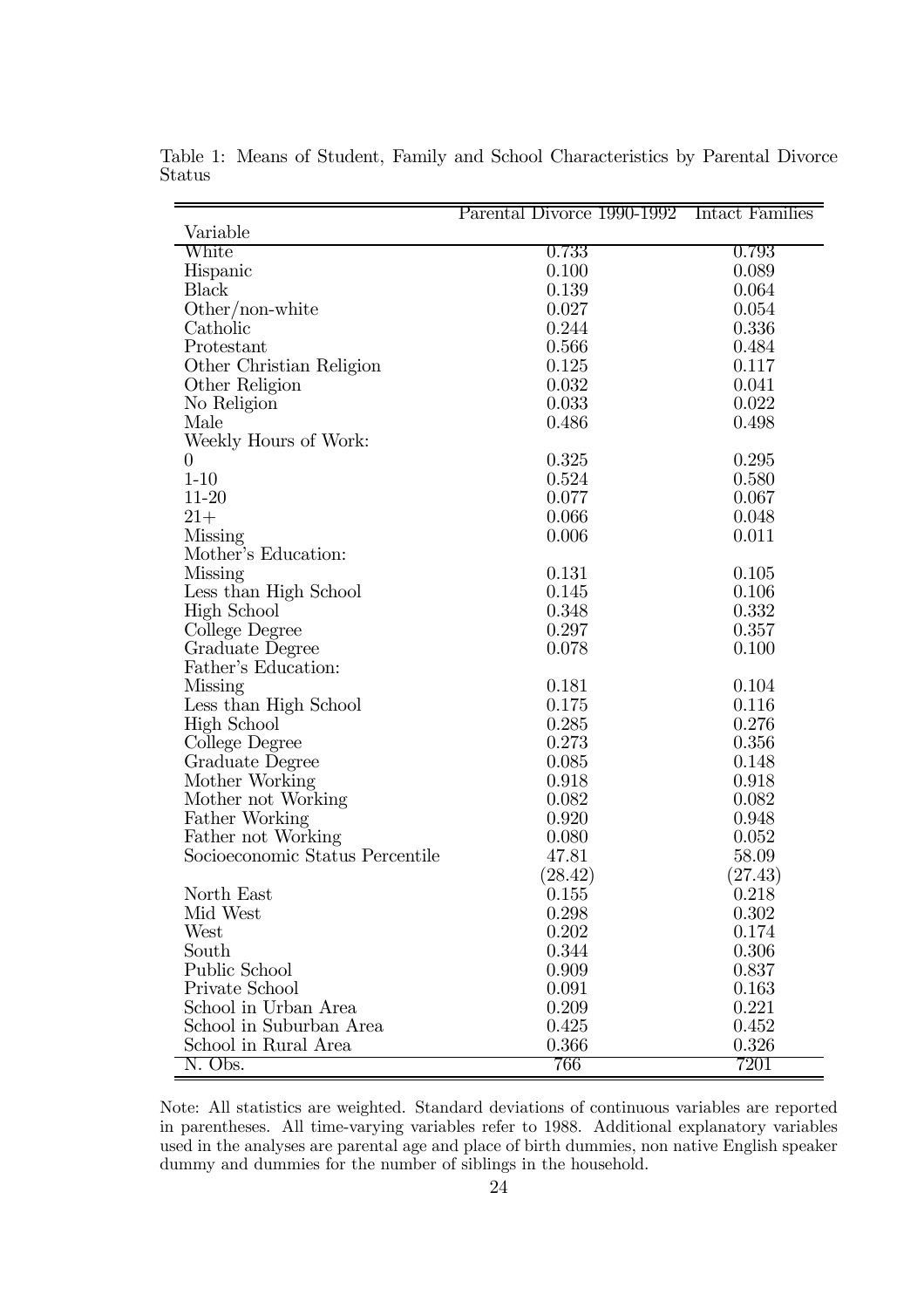|                                 | Parental Divorce 1990-1992 Intact Families |         |
|---------------------------------|--------------------------------------------|---------|
| Variable                        |                                            |         |
| White                           | 0.733                                      | 0.793   |
| Hispanic                        | 0.100                                      | 0.089   |
| Black                           | 0.139                                      | 0.064   |
| $Other/non-white$               | 0.027                                      | 0.054   |
| Catholic                        | 0.244                                      | 0.336   |
| Protestant                      | 0.566                                      | 0.484   |
| Other Christian Religion        | 0.125                                      | 0.117   |
| Other Religion                  | 0.032                                      | 0.041   |
| No Religion                     | 0.033                                      | 0.022   |
| Male                            | 0.486                                      | 0.498   |
| Weekly Hours of Work:           |                                            |         |
| $\theta$                        | 0.325                                      | 0.295   |
| $1 - 10$                        | 0.524                                      | 0.580   |
| $11-20$                         | 0.077                                      | 0.067   |
| $21+$                           | 0.066                                      | 0.048   |
| Missing                         | 0.006                                      | 0.011   |
| Mother's Education:             |                                            |         |
| Missing                         | 0.131                                      | 0.105   |
| Less than High School           | 0.145                                      | 0.106   |
| High School                     | 0.348                                      | 0.332   |
| College Degree                  | 0.297                                      | 0.357   |
| Graduate Degree                 | 0.078                                      | 0.100   |
| Father's Education:             |                                            |         |
| Missing                         | 0.181                                      | 0.104   |
| Less than High School           | 0.175                                      | 0.116   |
| <b>High School</b>              | 0.285                                      | 0.276   |
| College Degree                  | 0.273                                      | 0.356   |
| Graduate Degree                 | 0.085                                      | 0.148   |
| Mother Working                  | 0.918                                      | 0.918   |
| Mother not Working              | 0.082                                      | 0.082   |
| Father Working                  | 0.920                                      | 0.948   |
| Father not Working              | 0.080                                      | 0.052   |
| Socioeconomic Status Percentile | 47.81                                      | 58.09   |
|                                 |                                            |         |
|                                 | (28.42)                                    | (27.43) |
| North East                      | 0.155                                      | 0.218   |
| Mid West                        | 0.298                                      | 0.302   |
| West                            | 0.202                                      | 0.174   |
| South                           | 0.344                                      | 0.306   |
| Public School                   | 0.909                                      | 0.837   |
| Private School                  | 0.091                                      | 0.163   |
| School in Urban Area            | 0.209                                      | 0.221   |
| School in Suburban Area         | 0.425                                      | 0.452   |
| School in Rural Area            | 0.366                                      | 0.326   |
| N. Obs.                         | 766                                        | 7201    |

Table 1: Means of Student, Family and School Characteristics by Parental Divorce Status

Note: All statistics are weighted. Standard deviations of continuous variables are reported in parentheses. All time-varying variables refer to 1988. Additional explanatory variables used in the analyses are parental age and place of birth dummies, non native English speaker dummy and dummies for the number of siblings in the household.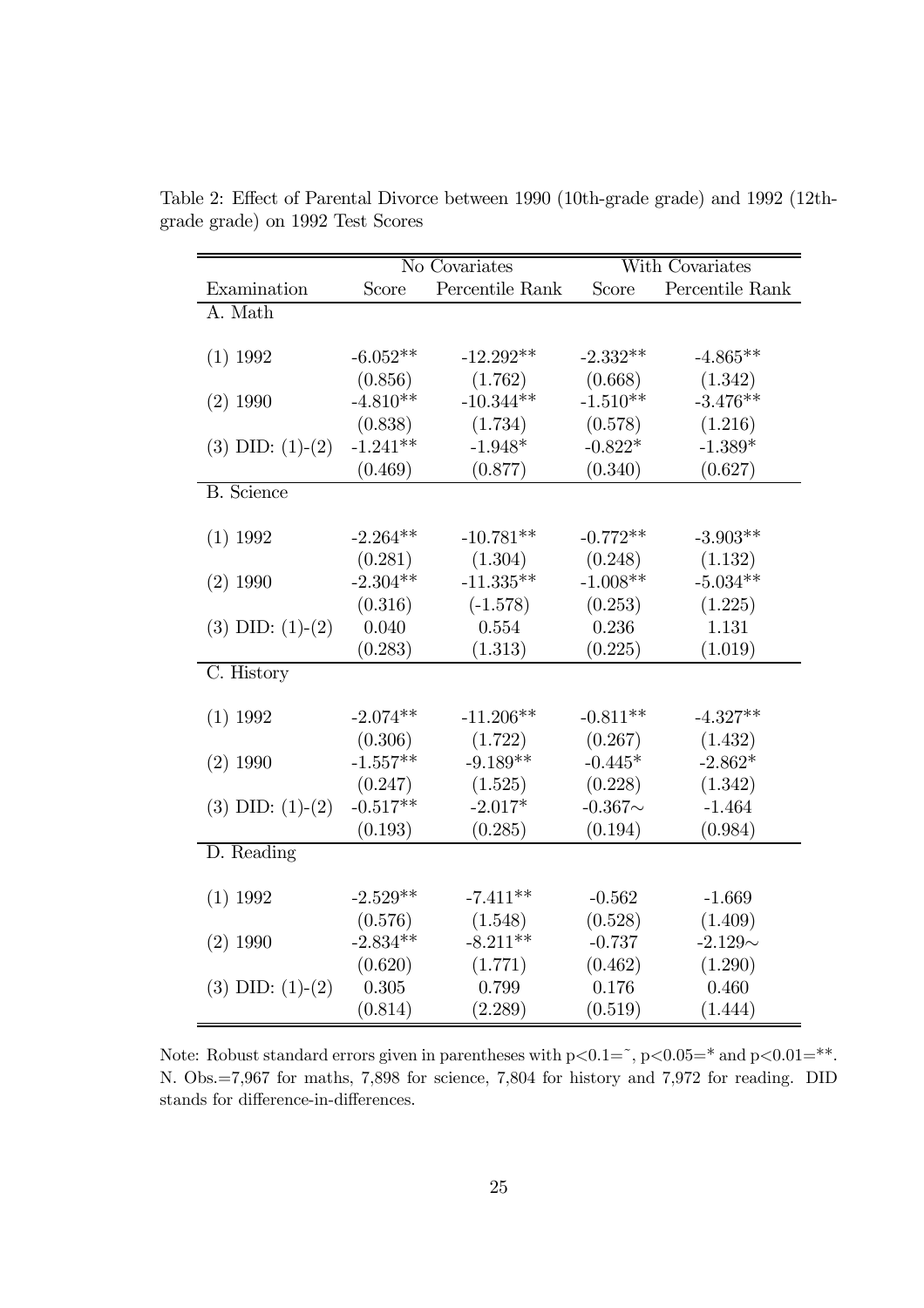|                      | No Covariates |                 | With Covariates |                 |
|----------------------|---------------|-----------------|-----------------|-----------------|
| Examination          | Score         | Percentile Rank | Score           | Percentile Rank |
| A. Math              |               |                 |                 |                 |
|                      |               |                 |                 |                 |
| $(1)$ 1992           | $-6.052**$    | $-12.292**$     | $-2.332**$      | $-4.865**$      |
|                      | (0.856)       | (1.762)         | (0.668)         | (1.342)         |
| $(2)$ 1990           | $-4.810**$    | $-10.344**$     | $-1.510**$      | $-3.476**$      |
|                      | (0.838)       | (1.734)         | (0.578)         | (1.216)         |
| $(3)$ DID: $(1)-(2)$ | $-1.241**$    | $-1.948*$       | $-0.822*$       | $-1.389*$       |
|                      | (0.469)       | (0.877)         | (0.340)         | (0.627)         |
| <b>B.</b> Science    |               |                 |                 |                 |
|                      |               |                 |                 |                 |
| $(1)$ 1992           | $-2.264**$    | $-10.781**$     | $-0.772**$      | $-3.903**$      |
|                      | (0.281)       | (1.304)         | (0.248)         | (1.132)         |
| $(2)$ 1990           | $-2.304**$    | $-11.335**$     | $-1.008**$      | $-5.034**$      |
|                      | (0.316)       | $(-1.578)$      | (0.253)         | (1.225)         |
| $(3)$ DID: $(1)-(2)$ | 0.040         | 0.554           | 0.236           | 1.131           |
|                      | (0.283)       | (1.313)         | (0.225)         | (1.019)         |
| C. History           |               |                 |                 |                 |
|                      |               |                 |                 |                 |
| $(1)$ 1992           | $-2.074**$    | $-11.206**$     | $-0.811**$      | $-4.327**$      |
|                      | (0.306)       | (1.722)         | (0.267)         | (1.432)         |
| $(2)$ 1990           | $-1.557**$    | $-9.189**$      | $-0.445*$       | $-2.862*$       |
|                      | (0.247)       | (1.525)         | (0.228)         | (1.342)         |
| $(3)$ DID: $(1)-(2)$ | $-0.517**$    | $-2.017*$       | $-0.367\sim$    | $-1.464$        |
|                      | (0.193)       | (0.285)         | (0.194)         | (0.984)         |
| D. Reading           |               |                 |                 |                 |
|                      |               |                 |                 |                 |
| $(1)$ 1992           | $-2.529**$    | $-7.411**$      | $-0.562$        | $-1.669$        |
|                      | (0.576)       | (1.548)         | (0.528)         | (1.409)         |
| $(2)$ 1990           | $-2.834**$    | $-8.211**$      | $-0.737$        | $-2.129\sim$    |
|                      | (0.620)       | (1.771)         | (0.462)         | (1.290)         |
| $(3)$ DID: $(1)-(2)$ | 0.305         | 0.799           | 0.176           | 0.460           |
|                      | (0.814)       | (2.289)         | (0.519)         | (1.444)         |

Table 2: Effect of Parental Divorce between 1990 (10th-grade grade) and 1992 (12thgrade grade) on 1992 Test Scores

Note: Robust standard errors given in parentheses with  $p<0.1=$ ,  $p<0.05=$ \* and  $p<0.01=$ \*\*. N. Obs.=7,967 for maths, 7,898 for science, 7,804 for history and 7,972 for reading. DID stands for difference-in-differences.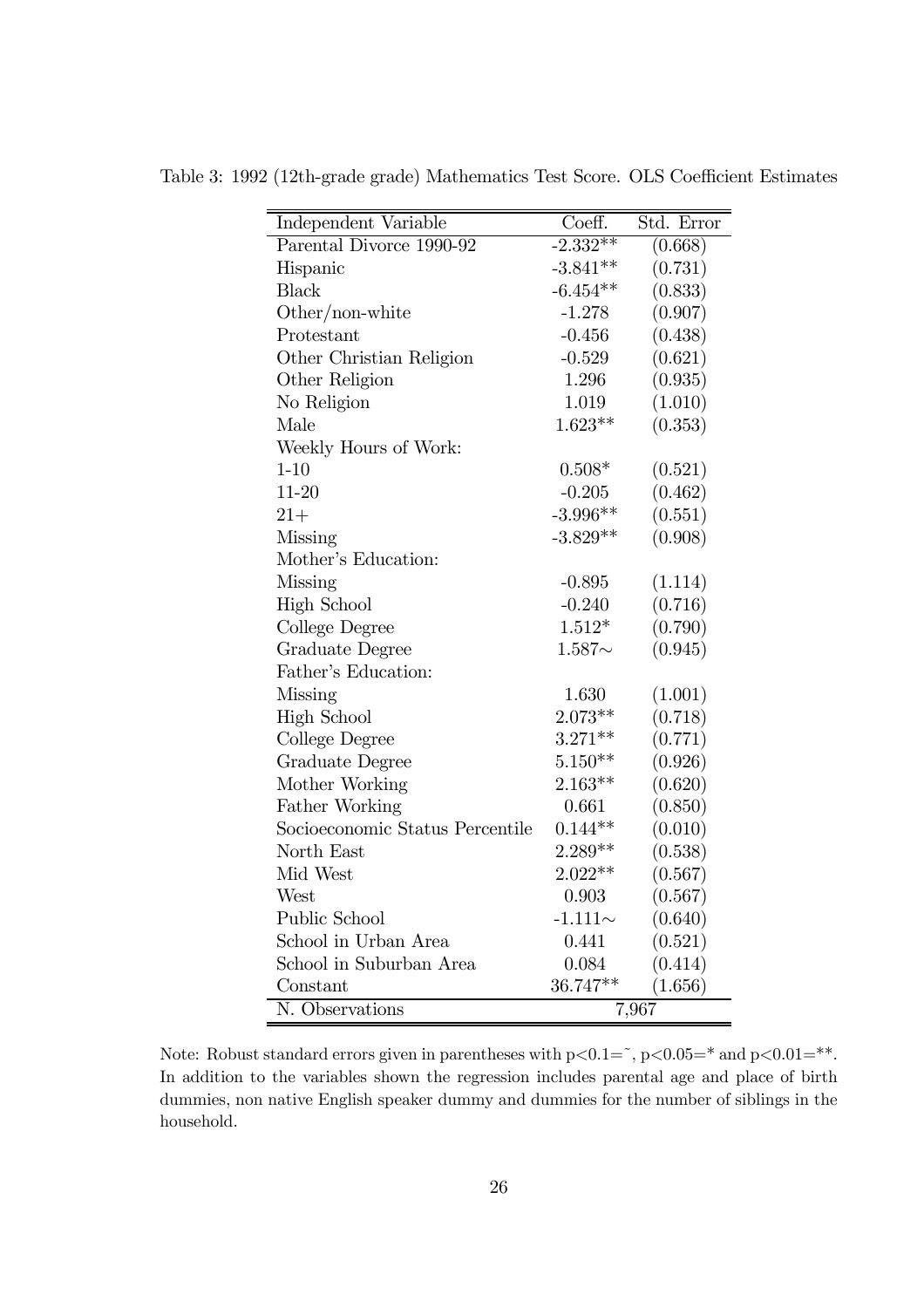| Independent Variable            | Coeff.       | Std. Error |
|---------------------------------|--------------|------------|
| Parental Divorce 1990-92        | $-2.332**$   | (0.668)    |
| Hispanic                        | $-3.841**$   | (0.731)    |
| <b>Black</b>                    | $-6.454**$   | (0.833)    |
| Other/non-white                 | $-1.278$     | (0.907)    |
| Protestant                      | $-0.456$     | (0.438)    |
| Other Christian Religion        | $-0.529$     | (0.621)    |
| Other Religion                  | 1.296        | (0.935)    |
| No Religion                     | 1.019        | (1.010)    |
| Male                            | $1.623**$    | (0.353)    |
| Weekly Hours of Work:           |              |            |
| $1 - 10$                        | $0.508*$     | (0.521)    |
| $11 - 20$                       | $-0.205$     | (0.462)    |
| $21 +$                          | $-3.996**$   | (0.551)    |
| Missing                         | $-3.829**$   | (0.908)    |
| Mother's Education:             |              |            |
| Missing                         | $-0.895$     | (1.114)    |
| <b>High School</b>              | $-0.240$     | (0.716)    |
| College Degree                  | $1.512*$     | (0.790)    |
| Graduate Degree                 | $1.587\sim$  | (0.945)    |
| Father's Education:             |              |            |
| Missing                         | 1.630        | (1.001)    |
| <b>High School</b>              | $2.073**$    | (0.718)    |
| College Degree                  | $3.271**$    | (0.771)    |
| Graduate Degree                 | $5.150**$    | (0.926)    |
| Mother Working                  | $2.163**$    | (0.620)    |
| Father Working                  | 0.661        | (0.850)    |
| Socioeconomic Status Percentile | $0.144**$    | (0.010)    |
| North East                      | $2.289**$    | (0.538)    |
| Mid West                        | $2.022**$    | (0.567)    |
| West                            | 0.903        | (0.567)    |
| Public School                   | $-1.111\sim$ | (0.640)    |
| School in Urban Area            | 0.441        | (0.521)    |
| School in Suburban Area         | 0.084        | (0.414)    |
| Constant                        | 36.747**     | (1.656)    |
| N. Observations                 |              | 7,967      |

Table 3: 1992 (12th-grade grade) Mathematics Test Score. OLS Coefficient Estimates

Note: Robust standard errors given in parentheses with  $p<0.1=$   $\degree$ ,  $p<0.05=$   $\degree$  and  $p<0.01=$   $\degree$ \*. In addition to the variables shown the regression includes parental age and place of birth dummies, non native English speaker dummy and dummies for the number of siblings in the household.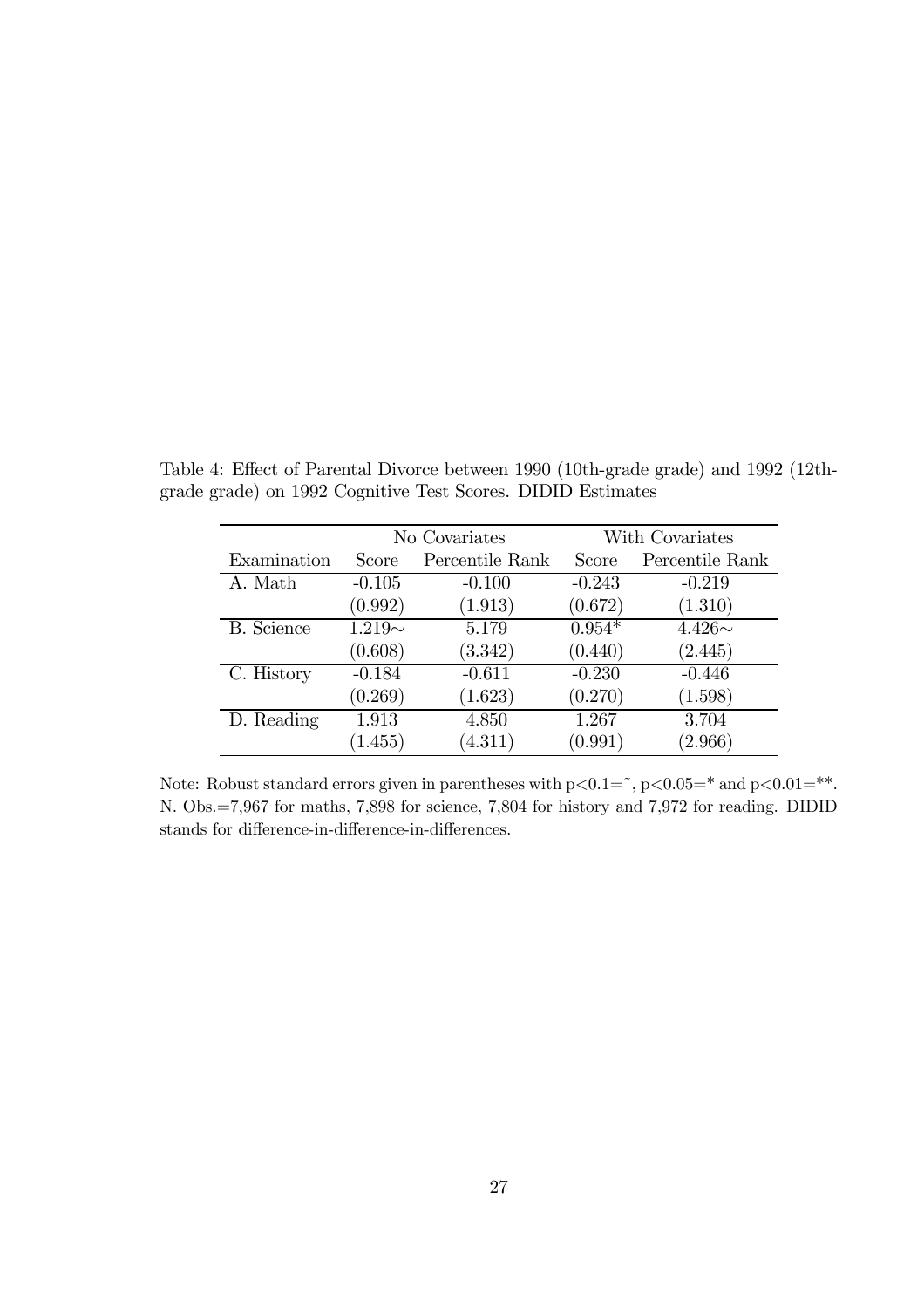|                   | No Covariates |                 | With Covariates |                 |
|-------------------|---------------|-----------------|-----------------|-----------------|
| Examination       | Score         | Percentile Rank | Score           | Percentile Rank |
| A. Math           | $-0.105$      | $-0.100$        | $-0.243$        | $-0.219$        |
|                   | (0.992)       | (1.913)         | (0.672)         | (1.310)         |
| <b>B.</b> Science | $1.219\sim$   | 5.179           | $0.954*$        | $4.426\sim$     |
|                   | (0.608)       | (3.342)         | (0.440)         | (2.445)         |
| C. History        | $-0.184$      | $-0.611$        | $-0.230$        | $-0.446$        |
|                   | (0.269)       | (1.623)         | (0.270)         | (1.598)         |
| D. Reading        | 1.913         | 4.850           | 1.267           | 3.704           |
|                   | (1.455)       | (4.311)         | (0.991)         | (2.966)         |

Table 4: Effect of Parental Divorce between 1990 (10th-grade grade) and 1992 (12thgrade grade) on 1992 Cognitive Test Scores. DIDID Estimates

Note: Robust standard errors given in parentheses with  $p<0.1=$ ,  $p<0.05=$ \* and  $p<0.01=$ \*\*. N. Obs.=7,967 for maths, 7,898 for science, 7,804 for history and 7,972 for reading. DIDID stands for difference-in-difference-in-differences.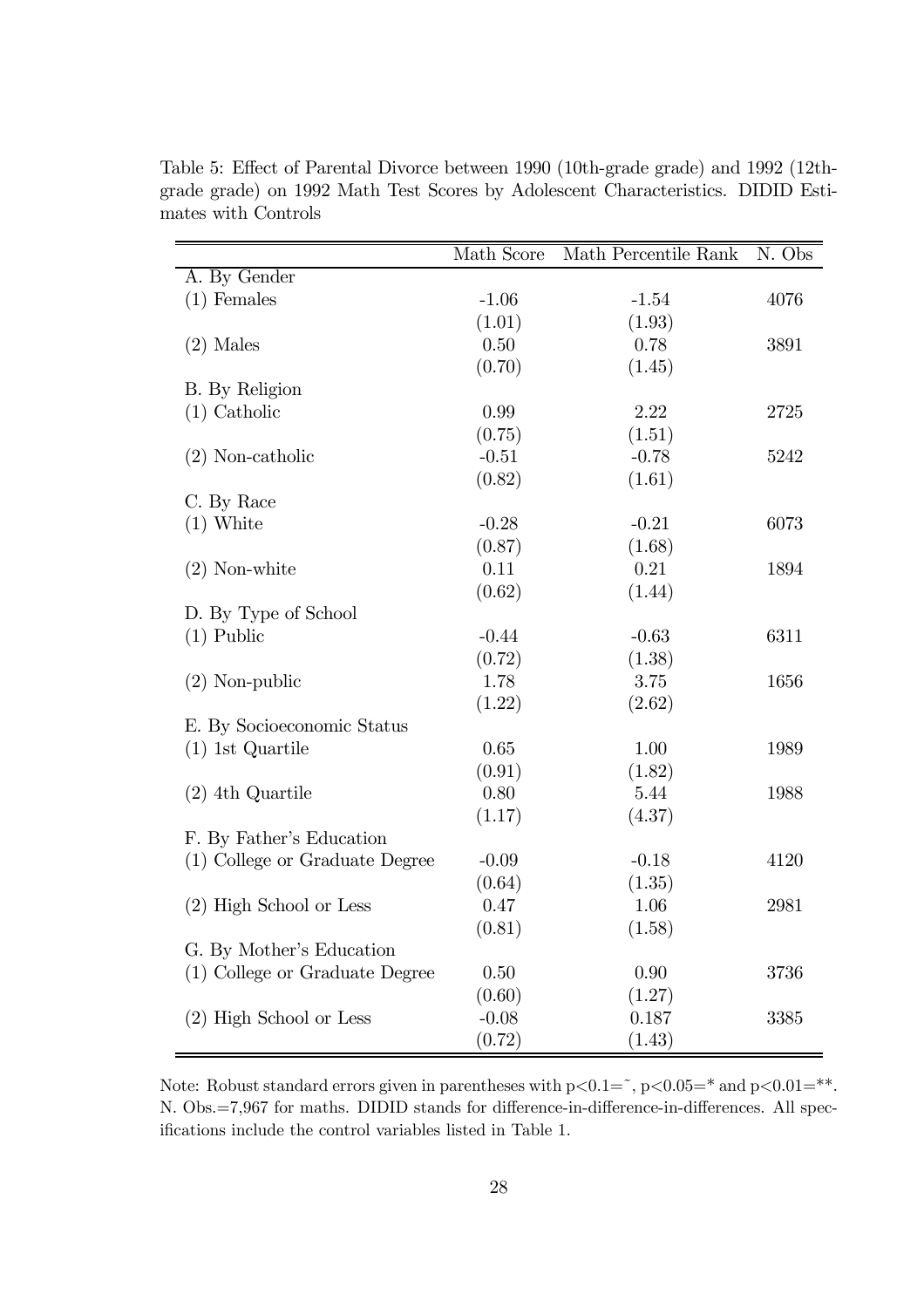|                                | Math Score | Math Percentile Rank | N. Obs |
|--------------------------------|------------|----------------------|--------|
| A. By Gender                   |            |                      |        |
| $(1)$ Females                  | $-1.06$    | $-1.54$              | 4076   |
|                                | (1.01)     | (1.93)               |        |
| $(2)$ Males                    | 0.50       | 0.78                 | 3891   |
|                                | (0.70)     | (1.45)               |        |
| B. By Religion                 |            |                      |        |
| $(1)$ Catholic                 | 0.99       | 2.22                 | 2725   |
|                                | (0.75)     | (1.51)               |        |
| $(2)$ Non-catholic             | $-0.51$    | $-0.78$              | 5242   |
|                                | (0.82)     | (1.61)               |        |
| C. By Race                     |            |                      |        |
| $(1)$ White                    | $-0.28$    | $-0.21$              | 6073   |
|                                | (0.87)     | (1.68)               |        |
| $(2)$ Non-white                | 0.11       | 0.21                 | 1894   |
|                                | (0.62)     | (1.44)               |        |
| D. By Type of School           |            |                      |        |
| $(1)$ Public                   | $-0.44$    | $-0.63$              | 6311   |
|                                | (0.72)     | (1.38)               |        |
| $(2)$ Non-public               | 1.78       | 3.75                 | 1656   |
|                                | (1.22)     | (2.62)               |        |
| E. By Socioeconomic Status     |            |                      |        |
| $(1)$ 1st Quartile             | 0.65       | 1.00                 | 1989   |
|                                | (0.91)     | (1.82)               |        |
| $(2)$ 4th Quartile             | 0.80       | 5.44                 | 1988   |
|                                | (1.17)     | (4.37)               |        |
| F. By Father's Education       |            |                      |        |
| (1) College or Graduate Degree | $-0.09$    | $-0.18$              | 4120   |
|                                | (0.64)     | (1.35)               |        |
| $(2)$ High School or Less      | 0.47       | 1.06                 | 2981   |
|                                | (0.81)     | (1.58)               |        |
| G. By Mother's Education       |            |                      |        |
| (1) College or Graduate Degree | 0.50       | 0.90                 | 3736   |
|                                | (0.60)     | (1.27)               |        |
| (2) High School or Less        | $-0.08$    | 0.187                | 3385   |
|                                | (0.72)     | (1.43)               |        |

Table 5: Effect of Parental Divorce between 1990 (10th-grade grade) and 1992 (12thgrade grade) on 1992 Math Test Scores by Adolescent Characteristics. DIDID Estimates with Controls

Note: Robust standard errors given in parentheses with p $< 0.1 = \degree$ , p $< 0.05 = \degree$  and p $< 0.01 = \degree$ \*. N. Obs.=7,967 for maths. DIDID stands for difference-in-difference-in-differences. All specifications include the control variables listed in Table 1.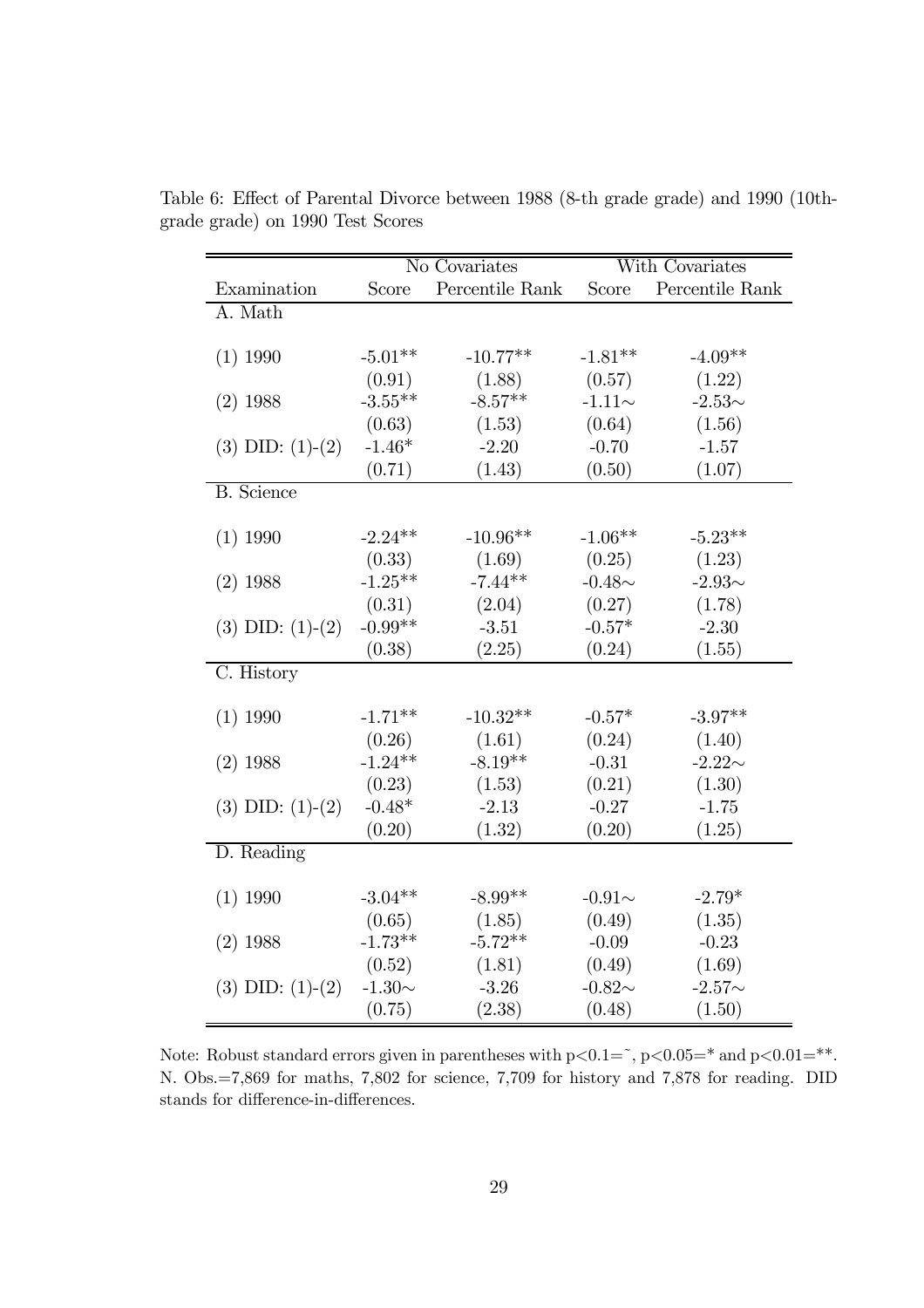|                      | No Covariates |                 | With Covariates |                 |
|----------------------|---------------|-----------------|-----------------|-----------------|
| Examination          | Score         | Percentile Rank | Score           | Percentile Rank |
| A. Math              |               |                 |                 |                 |
|                      |               |                 |                 |                 |
| $(1)$ 1990           | $-5.01**$     | $-10.77**$      | $-1.81**$       | $-4.09**$       |
|                      | (0.91)        | (1.88)          | (0.57)          | (1.22)          |
| $(2)$ 1988           | $-3.55**$     | $-8.57**$       | $-1.11\sim$     | $-2.53\sim$     |
|                      | (0.63)        | (1.53)          | (0.64)          | (1.56)          |
| $(3)$ DID: $(1)-(2)$ | $-1.46*$      | $-2.20$         | $-0.70$         | $-1.57$         |
|                      | (0.71)        | (1.43)          | (0.50)          | (1.07)          |
| <b>B.</b> Science    |               |                 |                 |                 |
|                      |               |                 |                 |                 |
| $(1)$ 1990           | $-2.24**$     | $-10.96**$      | $-1.06**$       | $-5.23**$       |
|                      | (0.33)        | (1.69)          | (0.25)          | (1.23)          |
| $(2)$ 1988           | $-1.25***$    | $-7.44**$       | $-0.48\sim$     | $-2.93\sim$     |
|                      | (0.31)        | (2.04)          | (0.27)          | (1.78)          |
| $(3)$ DID: $(1)-(2)$ | $-0.99**$     | $-3.51$         | $-0.57*$        | $-2.30$         |
|                      | (0.38)        | (2.25)          | (0.24)          | (1.55)          |
| C. History           |               |                 |                 |                 |
|                      |               |                 |                 |                 |
| $(1)$ 1990           | $-1.71**$     | $-10.32**$      | $-0.57*$        | $-3.97**$       |
|                      | (0.26)        | (1.61)          | (0.24)          | (1.40)          |
| $(2)$ 1988           | $-1.24**$     | $-8.19**$       | $-0.31$         | $-2.22\sim$     |
|                      | (0.23)        | (1.53)          | (0.21)          | (1.30)          |
| $(3)$ DID: $(1)-(2)$ | $-0.48*$      | $-2.13$         | $-0.27$         | $-1.75$         |
|                      | (0.20)        | (1.32)          | (0.20)          | (1.25)          |
| D. Reading           |               |                 |                 |                 |
|                      |               |                 |                 |                 |
| $(1)$ 1990           | $-3.04**$     | $-8.99**$       | $-0.91\sim$     | $-2.79*$        |
|                      | (0.65)        | (1.85)          | (0.49)          | (1.35)          |
| $(2)$ 1988           | $-1.73**$     | $-5.72**$       | $-0.09$         | $-0.23$         |
|                      | (0.52)        | (1.81)          | (0.49)          | (1.69)          |
| $(3)$ DID: $(1)-(2)$ | -1.30 $\sim$  | $-3.26$         | $-0.82\sim$     | $-2.57\sim$     |
|                      | (0.75)        | (2.38)          | (0.48)          | (1.50)          |

Table 6: Effect of Parental Divorce between 1988 (8-th grade grade) and 1990 (10thgrade grade) on 1990 Test Scores

Note: Robust standard errors given in parentheses with  $p<0.1=$ ,  $p<0.05=$ \* and  $p<0.01=$ \*\*. N. Obs.=7,869 for maths, 7,802 for science, 7,709 for history and 7,878 for reading. DID stands for difference-in-differences.